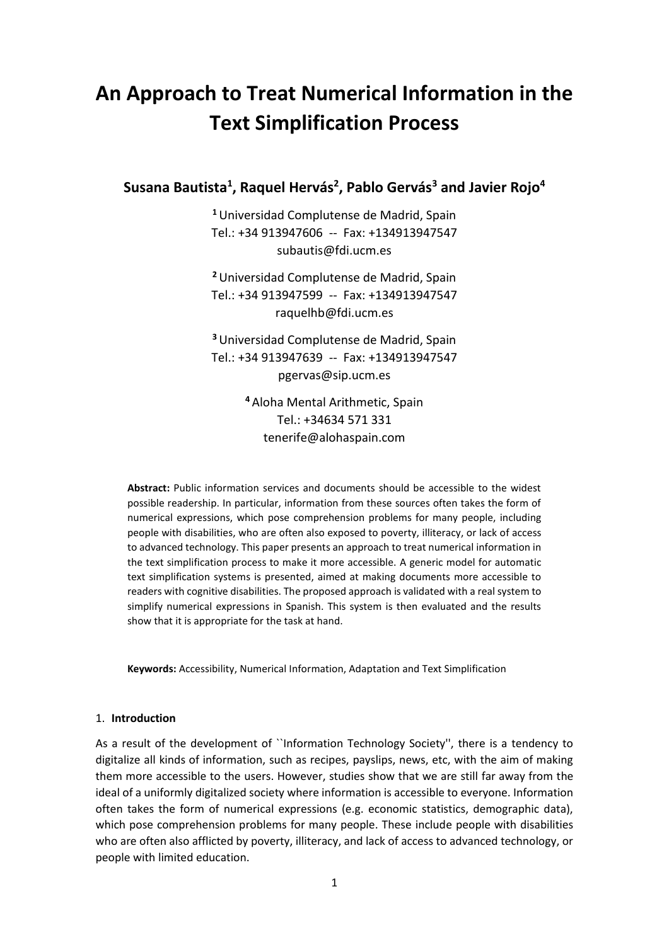# **An Approach to Treat Numerical Information in the Text Simplification Process**

# **Susana Bautista<sup>1</sup> , Raquel Hervás 2 , Pablo Gervás<sup>3</sup> and Javier Rojo<sup>4</sup>**

**<sup>1</sup>**Universidad Complutense de Madrid, Spain Tel.: +34 913947606 -- Fax: +134913947547 subautis@fdi.ucm.es

**<sup>2</sup>**Universidad Complutense de Madrid, Spain Tel.: +34 913947599 -- Fax: +134913947547 raquelhb@fdi.ucm.es

**<sup>3</sup>**Universidad Complutense de Madrid, Spain Tel.: +34 913947639 -- Fax: +134913947547 pgervas@sip.ucm.es

> **<sup>4</sup>**Aloha Mental Arithmetic, Spain Tel.: +34634 571 331 tenerife@alohaspain.com

**Abstract:** Public information services and documents should be accessible to the widest possible readership. In particular, information from these sources often takes the form of numerical expressions, which pose comprehension problems for many people, including people with disabilities, who are often also exposed to poverty, illiteracy, or lack of access to advanced technology. This paper presents an approach to treat numerical information in the text simplification process to make it more accessible. A generic model for automatic text simplification systems is presented, aimed at making documents more accessible to readers with cognitive disabilities. The proposed approach is validated with a real system to simplify numerical expressions in Spanish. This system is then evaluated and the results show that it is appropriate for the task at hand.

**Keywords:** Accessibility, Numerical Information, Adaptation and Text Simplification

#### 1. **Introduction**

As a result of the development of ``Information Technology Society'', there is a tendency to digitalize all kinds of information, such as recipes, payslips, news, etc, with the aim of making them more accessible to the users. However, studies show that we are still far away from the ideal of a uniformly digitalized society where information is accessible to everyone. Information often takes the form of numerical expressions (e.g. economic statistics, demographic data), which pose comprehension problems for many people. These include people with disabilities who are often also afflicted by poverty, illiteracy, and lack of access to advanced technology, or people with limited education.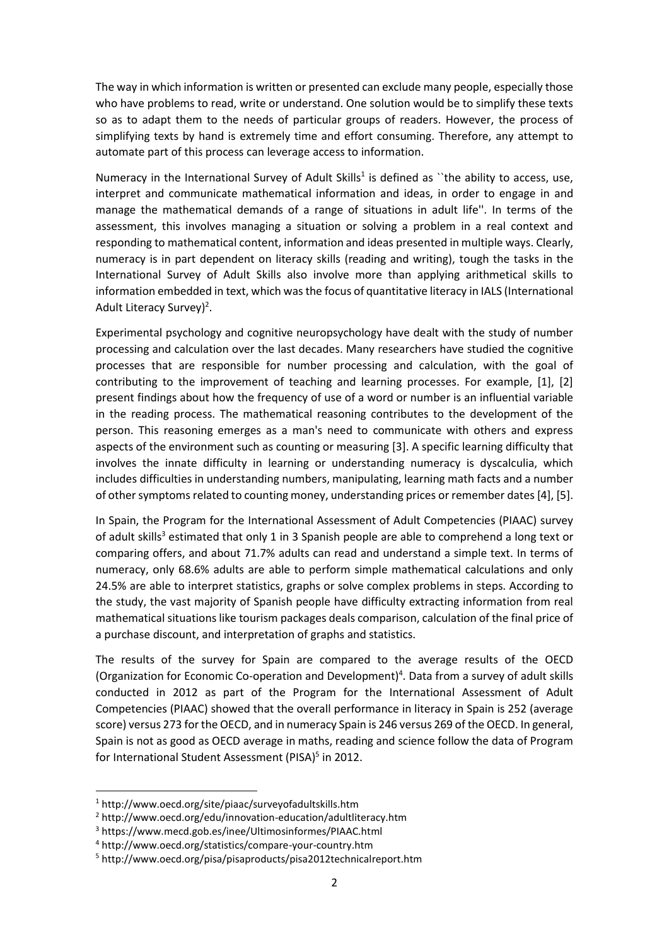The way in which information is written or presented can exclude many people, especially those who have problems to read, write or understand. One solution would be to simplify these texts so as to adapt them to the needs of particular groups of readers. However, the process of simplifying texts by hand is extremely time and effort consuming. Therefore, any attempt to automate part of this process can leverage access to information.

Numeracy in the International Survey of Adult Skills<sup>1</sup> is defined as "the ability to access, use, interpret and communicate mathematical information and ideas, in order to engage in and manage the mathematical demands of a range of situations in adult life''. In terms of the assessment, this involves managing a situation or solving a problem in a real context and responding to mathematical content, information and ideas presented in multiple ways. Clearly, numeracy is in part dependent on literacy skills (reading and writing), tough the tasks in the International Survey of Adult Skills also involve more than applying arithmetical skills to information embedded in text, which was the focus of quantitative literacy in IALS (International Adult Literacy Survey)<sup>2</sup>.

Experimental psychology and cognitive neuropsychology have dealt with the study of number processing and calculation over the last decades. Many researchers have studied the cognitive processes that are responsible for number processing and calculation, with the goal of contributing to the improvement of teaching and learning processes. For example, [1], [2] present findings about how the frequency of use of a word or number is an influential variable in the reading process. The mathematical reasoning contributes to the development of the person. This reasoning emerges as a man's need to communicate with others and express aspects of the environment such as counting or measuring [3]. A specific learning difficulty that involves the innate difficulty in learning or understanding numeracy is dyscalculia, which includes difficulties in understanding numbers, manipulating, learning math facts and a number of other symptoms related to counting money, understanding prices or remember dates [4], [5].

In Spain, the Program for the International Assessment of Adult Competencies (PIAAC) survey of adult skills<sup>3</sup> estimated that only 1 in 3 Spanish people are able to comprehend a long text or comparing offers, and about 71.7% adults can read and understand a simple text. In terms of numeracy, only 68.6% adults are able to perform simple mathematical calculations and only 24.5% are able to interpret statistics, graphs or solve complex problems in steps. According to the study, the vast majority of Spanish people have difficulty extracting information from real mathematical situations like tourism packages deals comparison, calculation of the final price of a purchase discount, and interpretation of graphs and statistics.

The results of the survey for Spain are compared to the average results of the OECD (Organization for Economic Co-operation and Development)<sup>4</sup>. Data from a survey of adult skills conducted in 2012 as part of the Program for the International Assessment of Adult Competencies (PIAAC) showed that the overall performance in literacy in Spain is 252 (average score) versus 273 for the OECD, and in numeracy Spain is 246 versus 269 of the OECD. In general, Spain is not as good as OECD average in maths, reading and science follow the data of Program for International Student Assessment (PISA)<sup>5</sup> in 2012.

**.** 

<sup>1</sup> http://www.oecd.org/site/piaac/surveyofadultskills.htm

<sup>2</sup> http://www.oecd.org/edu/innovation-education/adultliteracy.htm

<sup>3</sup> https://www.mecd.gob.es/inee/Ultimosinformes/PIAAC.html

<sup>4</sup> http://www.oecd.org/statistics/compare-your-country.htm

<sup>5</sup> http://www.oecd.org/pisa/pisaproducts/pisa2012technicalreport.htm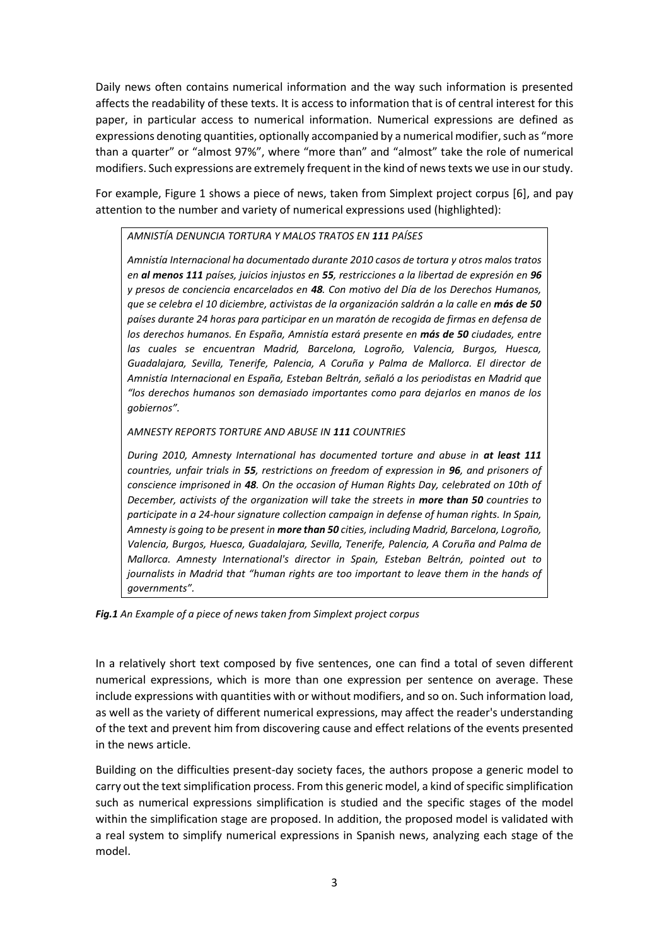Daily news often contains numerical information and the way such information is presented affects the readability of these texts. It is access to information that is of central interest for this paper, in particular access to numerical information. Numerical expressions are defined as expressions denoting quantities, optionally accompanied by a numerical modifier, such as "more than a quarter" or "almost 97%", where "more than" and "almost" take the role of numerical modifiers. Such expressions are extremely frequent in the kind of news texts we use in our study.

For example, Figure 1 shows a piece of news, taken from Simplext project corpus [6], and pay attention to the number and variety of numerical expressions used (highlighted):

*AMNISTÍA DENUNCIA TORTURA Y MALOS TRATOS EN 111 PAÍSES*

*Amnistía Internacional ha documentado durante 2010 casos de tortura y otros malos tratos en al menos 111 países, juicios injustos en 55, restricciones a la libertad de expresión en 96 y presos de conciencia encarcelados en 48. Con motivo del Día de los Derechos Humanos, que se celebra el 10 diciembre, activistas de la organización saldrán a la calle en más de 50 países durante 24 horas para participar en un maratón de recogida de firmas en defensa de los derechos humanos. En España, Amnistía estará presente en más de 50 ciudades, entre las cuales se encuentran Madrid, Barcelona, Logroño, Valencia, Burgos, Huesca, Guadalajara, Sevilla, Tenerife, Palencia, A Coruña y Palma de Mallorca. El director de Amnistía Internacional en España, Esteban Beltrán, señaló a los periodistas en Madrid que "los derechos humanos son demasiado importantes como para dejarlos en manos de los gobiernos".*

*AMNESTY REPORTS TORTURE AND ABUSE IN 111 COUNTRIES*

*During 2010, Amnesty International has documented torture and abuse in at least 111 countries, unfair trials in 55, restrictions on freedom of expression in 96, and prisoners of conscience imprisoned in 48. On the occasion of Human Rights Day, celebrated on 10th of December, activists of the organization will take the streets in more than 50 countries to participate in a 24-hour signature collection campaign in defense of human rights. In Spain, Amnesty is going to be present in more than 50 cities, including Madrid, Barcelona, Logroño, Valencia, Burgos, Huesca, Guadalajara, Sevilla, Tenerife, Palencia, A Coruña and Palma de Mallorca. Amnesty International's director in Spain, Esteban Beltrán, pointed out to journalists in Madrid that "human rights are too important to leave them in the hands of governments".*

*Fig.1 An Example of a piece of news taken from Simplext project corpus*

In a relatively short text composed by five sentences, one can find a total of seven different numerical expressions, which is more than one expression per sentence on average. These include expressions with quantities with or without modifiers, and so on. Such information load, as well as the variety of different numerical expressions, may affect the reader's understanding of the text and prevent him from discovering cause and effect relations of the events presented in the news article.

Building on the difficulties present-day society faces, the authors propose a generic model to carry out the text simplification process. From this generic model, a kind of specific simplification such as numerical expressions simplification is studied and the specific stages of the model within the simplification stage are proposed. In addition, the proposed model is validated with a real system to simplify numerical expressions in Spanish news, analyzing each stage of the model.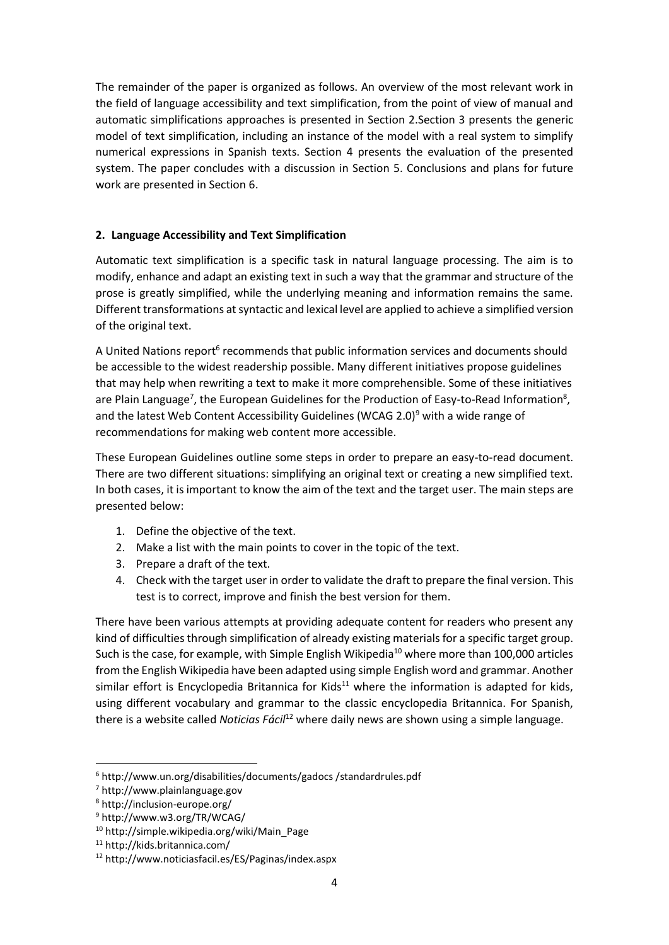The remainder of the paper is organized as follows. An overview of the most relevant work in the field of language accessibility and text simplification, from the point of view of manual and automatic simplifications approaches is presented in Section 2.Section 3 presents the generic model of text simplification, including an instance of the model with a real system to simplify numerical expressions in Spanish texts. Section 4 presents the evaluation of the presented system. The paper concludes with a discussion in Section 5. Conclusions and plans for future work are presented in Section 6.

# **2. Language Accessibility and Text Simplification**

Automatic text simplification is a specific task in natural language processing. The aim is to modify, enhance and adapt an existing text in such a way that the grammar and structure of the prose is greatly simplified, while the underlying meaning and information remains the same. Different transformations at syntactic and lexical level are applied to achieve a simplified version of the original text.

A United Nations report<sup>6</sup> recommends that public information services and documents should be accessible to the widest readership possible. Many different initiatives propose guidelines that may help when rewriting a text to make it more comprehensible. Some of these initiatives are Plain Language<sup>7</sup>, the European Guidelines for the Production of Easy-to-Read Information<sup>8</sup>, and the latest Web Content Accessibility Guidelines (WCAG 2.0)<sup>9</sup> with a wide range of recommendations for making web content more accessible.

These European Guidelines outline some steps in order to prepare an easy-to-read document. There are two different situations: simplifying an original text or creating a new simplified text. In both cases, it is important to know the aim of the text and the target user. The main steps are presented below:

- 1. Define the objective of the text.
- 2. Make a list with the main points to cover in the topic of the text.
- 3. Prepare a draft of the text.
- 4. Check with the target user in order to validate the draft to prepare the final version. This test is to correct, improve and finish the best version for them.

There have been various attempts at providing adequate content for readers who present any kind of difficulties through simplification of already existing materials for a specific target group. Such is the case, for example, with Simple English Wikipedia<sup>10</sup> where more than 100,000 articles from the English Wikipedia have been adapted using simple English word and grammar. Another similar effort is Encyclopedia Britannica for Kids $11$  where the information is adapted for kids, using different vocabulary and grammar to the classic encyclopedia Britannica. For Spanish, there is a website called *Noticias Fácil*<sup>12</sup> where daily news are shown using a simple language.

1

<sup>6</sup> http://www.un.org/disabilities/documents/gadocs /standardrules.pdf

<sup>7</sup> http://www.plainlanguage.gov

<sup>8</sup> http://inclusion-europe.org/

<sup>9</sup> http://www.w3.org/TR/WCAG/

<sup>10</sup> http://simple.wikipedia.org/wiki/Main\_Page

<sup>11</sup> http://kids.britannica.com/

<sup>12</sup> http://www.noticiasfacil.es/ES/Paginas/index.aspx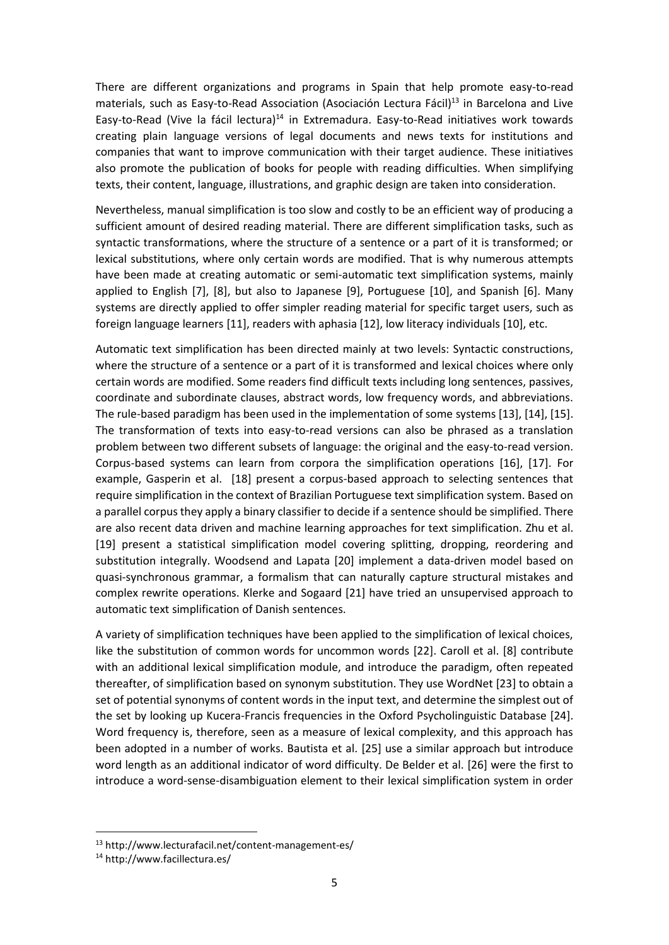There are different organizations and programs in Spain that help promote easy-to-read materials, such as Easy-to-Read Association (Asociación Lectura Fácil)<sup>13</sup> in Barcelona and Live Easy-to-Read (Vive la fácil lectura)<sup>14</sup> in Extremadura. Easy-to-Read initiatives work towards creating plain language versions of legal documents and news texts for institutions and companies that want to improve communication with their target audience. These initiatives also promote the publication of books for people with reading difficulties. When simplifying texts, their content, language, illustrations, and graphic design are taken into consideration.

Nevertheless, manual simplification is too slow and costly to be an efficient way of producing a sufficient amount of desired reading material. There are different simplification tasks, such as syntactic transformations, where the structure of a sentence or a part of it is transformed; or lexical substitutions, where only certain words are modified. That is why numerous attempts have been made at creating automatic or semi-automatic text simplification systems, mainly applied to English [7], [8], but also to Japanese [9], Portuguese [10], and Spanish [6]. Many systems are directly applied to offer simpler reading material for specific target users, such as foreign language learners [11], readers with aphasia [12], low literacy individuals [10], etc.

Automatic text simplification has been directed mainly at two levels: Syntactic constructions, where the structure of a sentence or a part of it is transformed and lexical choices where only certain words are modified. Some readers find difficult texts including long sentences, passives, coordinate and subordinate clauses, abstract words, low frequency words, and abbreviations. The rule-based paradigm has been used in the implementation of some systems [13], [14], [15]. The transformation of texts into easy-to-read versions can also be phrased as a translation problem between two different subsets of language: the original and the easy-to-read version. Corpus-based systems can learn from corpora the simplification operations [16], [17]. For example, Gasperin et al. [18] present a corpus-based approach to selecting sentences that require simplification in the context of Brazilian Portuguese text simplification system. Based on a parallel corpus they apply a binary classifier to decide if a sentence should be simplified. There are also recent data driven and machine learning approaches for text simplification. Zhu et al. [19] present a statistical simplification model covering splitting, dropping, reordering and substitution integrally. Woodsend and Lapata [20] implement a data-driven model based on quasi-synchronous grammar, a formalism that can naturally capture structural mistakes and complex rewrite operations. Klerke and Sogaard [21] have tried an unsupervised approach to automatic text simplification of Danish sentences.

A variety of simplification techniques have been applied to the simplification of lexical choices, like the substitution of common words for uncommon words [22]. Caroll et al. [8] contribute with an additional lexical simplification module, and introduce the paradigm, often repeated thereafter, of simplification based on synonym substitution. They use WordNet [23] to obtain a set of potential synonyms of content words in the input text, and determine the simplest out of the set by looking up Kucera-Francis frequencies in the Oxford Psycholinguistic Database [24]. Word frequency is, therefore, seen as a measure of lexical complexity, and this approach has been adopted in a number of works. Bautista et al. [25] use a similar approach but introduce word length as an additional indicator of word difficulty. De Belder et al. [26] were the first to introduce a word-sense-disambiguation element to their lexical simplification system in order

1

<sup>13</sup> http://www.lecturafacil.net/content-management-es/

<sup>14</sup> http://www.facillectura.es/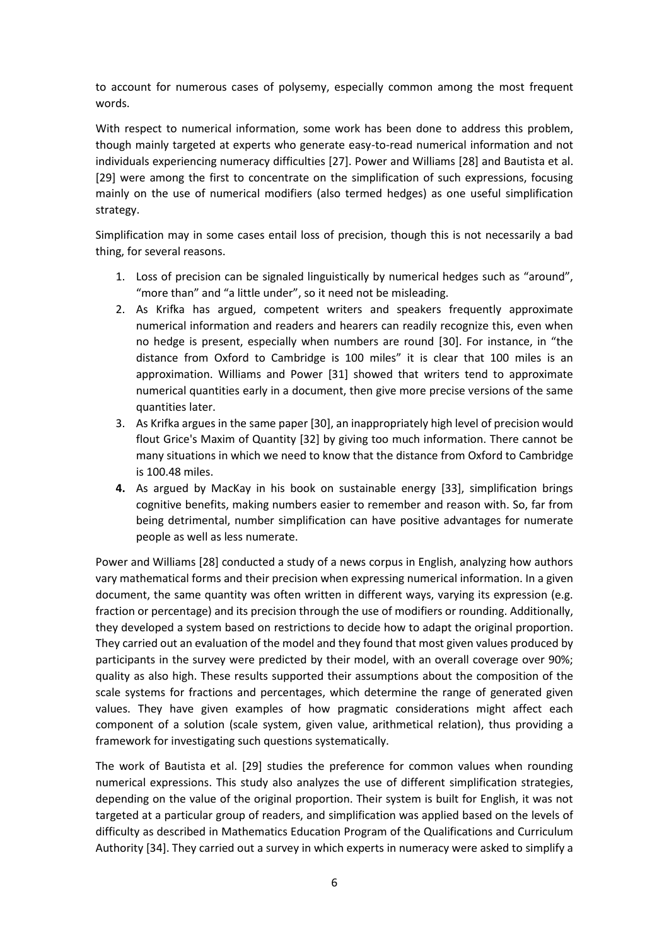to account for numerous cases of polysemy, especially common among the most frequent words.

With respect to numerical information, some work has been done to address this problem, though mainly targeted at experts who generate easy-to-read numerical information and not individuals experiencing numeracy difficulties [27]. Power and Williams [28] and Bautista et al. [29] were among the first to concentrate on the simplification of such expressions, focusing mainly on the use of numerical modifiers (also termed hedges) as one useful simplification strategy.

Simplification may in some cases entail loss of precision, though this is not necessarily a bad thing, for several reasons.

- 1. Loss of precision can be signaled linguistically by numerical hedges such as "around", "more than" and "a little under", so it need not be misleading.
- 2. As Krifka has argued, competent writers and speakers frequently approximate numerical information and readers and hearers can readily recognize this, even when no hedge is present, especially when numbers are round [30]. For instance, in "the distance from Oxford to Cambridge is 100 miles" it is clear that 100 miles is an approximation. Williams and Power [31] showed that writers tend to approximate numerical quantities early in a document, then give more precise versions of the same quantities later.
- 3. As Krifka argues in the same paper [30], an inappropriately high level of precision would flout Grice's Maxim of Quantity [32] by giving too much information. There cannot be many situations in which we need to know that the distance from Oxford to Cambridge is 100.48 miles.
- **4.** As argued by MacKay in his book on sustainable energy [33], simplification brings cognitive benefits, making numbers easier to remember and reason with. So, far from being detrimental, number simplification can have positive advantages for numerate people as well as less numerate.

Power and Williams [28] conducted a study of a news corpus in English, analyzing how authors vary mathematical forms and their precision when expressing numerical information. In a given document, the same quantity was often written in different ways, varying its expression (e.g. fraction or percentage) and its precision through the use of modifiers or rounding. Additionally, they developed a system based on restrictions to decide how to adapt the original proportion. They carried out an evaluation of the model and they found that most given values produced by participants in the survey were predicted by their model, with an overall coverage over 90%; quality as also high. These results supported their assumptions about the composition of the scale systems for fractions and percentages, which determine the range of generated given values. They have given examples of how pragmatic considerations might affect each component of a solution (scale system, given value, arithmetical relation), thus providing a framework for investigating such questions systematically.

The work of Bautista et al. [29] studies the preference for common values when rounding numerical expressions. This study also analyzes the use of different simplification strategies, depending on the value of the original proportion. Their system is built for English, it was not targeted at a particular group of readers, and simplification was applied based on the levels of difficulty as described in Mathematics Education Program of the Qualifications and Curriculum Authority [34]. They carried out a survey in which experts in numeracy were asked to simplify a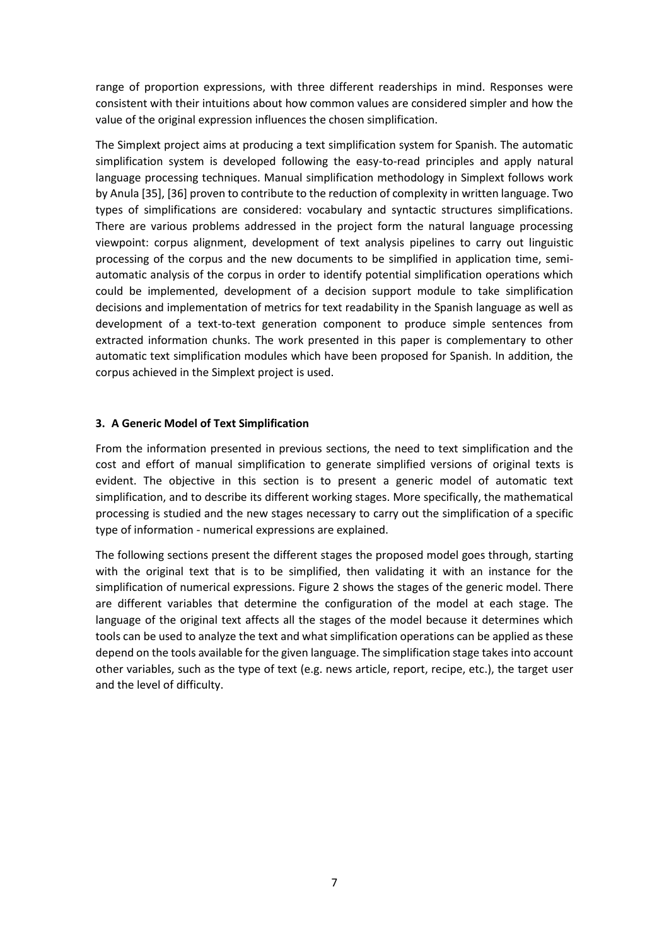range of proportion expressions, with three different readerships in mind. Responses were consistent with their intuitions about how common values are considered simpler and how the value of the original expression influences the chosen simplification.

The Simplext project aims at producing a text simplification system for Spanish. The automatic simplification system is developed following the easy-to-read principles and apply natural language processing techniques. Manual simplification methodology in Simplext follows work by Anula [35], [36] proven to contribute to the reduction of complexity in written language. Two types of simplifications are considered: vocabulary and syntactic structures simplifications. There are various problems addressed in the project form the natural language processing viewpoint: corpus alignment, development of text analysis pipelines to carry out linguistic processing of the corpus and the new documents to be simplified in application time, semiautomatic analysis of the corpus in order to identify potential simplification operations which could be implemented, development of a decision support module to take simplification decisions and implementation of metrics for text readability in the Spanish language as well as development of a text-to-text generation component to produce simple sentences from extracted information chunks. The work presented in this paper is complementary to other automatic text simplification modules which have been proposed for Spanish. In addition, the corpus achieved in the Simplext project is used.

#### **3. A Generic Model of Text Simplification**

From the information presented in previous sections, the need to text simplification and the cost and effort of manual simplification to generate simplified versions of original texts is evident. The objective in this section is to present a generic model of automatic text simplification, and to describe its different working stages. More specifically, the mathematical processing is studied and the new stages necessary to carry out the simplification of a specific type of information - numerical expressions are explained.

The following sections present the different stages the proposed model goes through, starting with the original text that is to be simplified, then validating it with an instance for the simplification of numerical expressions. Figure 2 shows the stages of the generic model. There are different variables that determine the configuration of the model at each stage. The language of the original text affects all the stages of the model because it determines which tools can be used to analyze the text and what simplification operations can be applied as these depend on the tools available for the given language. The simplification stage takes into account other variables, such as the type of text (e.g. news article, report, recipe, etc.), the target user and the level of difficulty.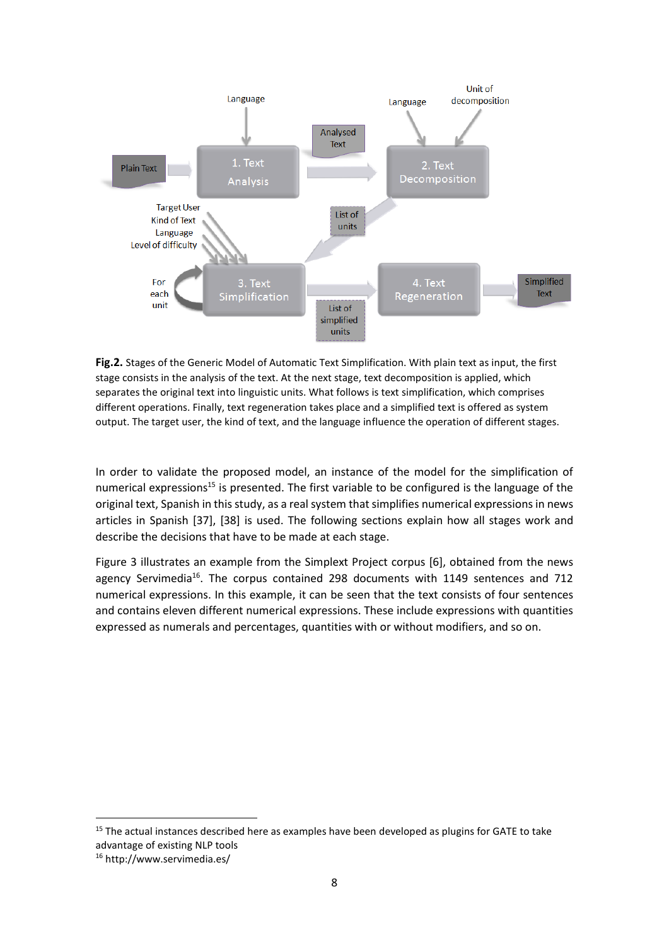

**Fig.2.** Stages of the Generic Model of Automatic Text Simplification. With plain text as input, the first stage consists in the analysis of the text. At the next stage, text decomposition is applied, which separates the original text into linguistic units. What follows is text simplification, which comprises different operations. Finally, text regeneration takes place and a simplified text is offered as system output. The target user, the kind of text, and the language influence the operation of different stages.

In order to validate the proposed model, an instance of the model for the simplification of numerical expressions<sup>15</sup> is presented. The first variable to be configured is the language of the original text, Spanish in this study, as a real system that simplifies numerical expressions in news articles in Spanish [37], [38] is used. The following sections explain how all stages work and describe the decisions that have to be made at each stage.

Figure 3 illustrates an example from the Simplext Project corpus [6], obtained from the news agency Servimedia<sup>16</sup>. The corpus contained 298 documents with 1149 sentences and 712 numerical expressions. In this example, it can be seen that the text consists of four sentences and contains eleven different numerical expressions. These include expressions with quantities expressed as numerals and percentages, quantities with or without modifiers, and so on.

**.** 

 $15$  The actual instances described here as examples have been developed as plugins for GATE to take advantage of existing NLP tools

<sup>16</sup> http://www.servimedia.es/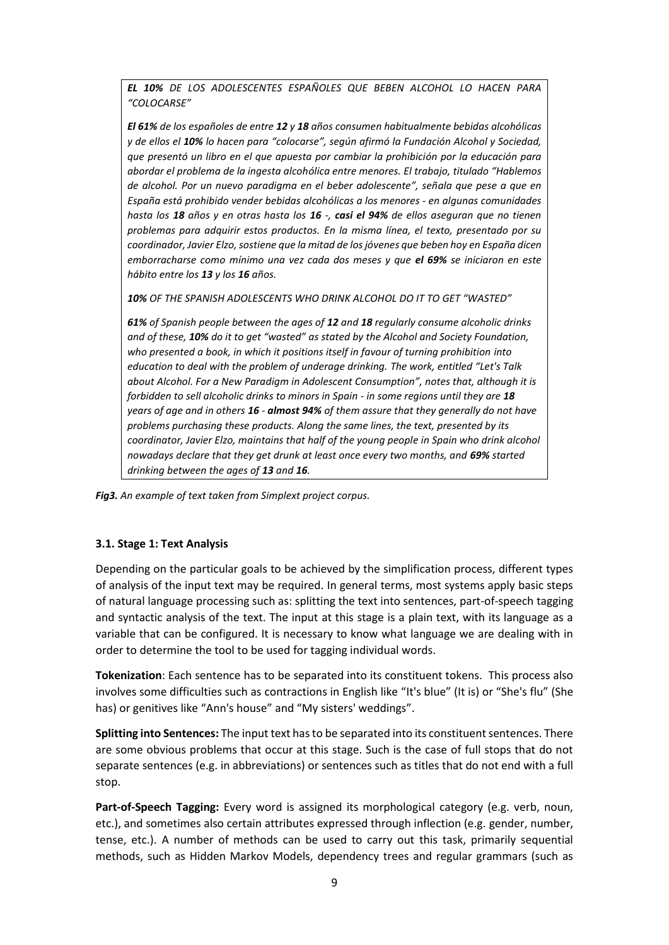*EL 10% DE LOS ADOLESCENTES ESPAÑOLES QUE BEBEN ALCOHOL LO HACEN PARA "COLOCARSE"*

*El 61% de los españoles de entre 12 y 18 años consumen habitualmente bebidas alcohólicas y de ellos el 10% lo hacen para "colocarse", según afirmó la Fundación Alcohol y Sociedad, que presentó un libro en el que apuesta por cambiar la prohibición por la educación para abordar el problema de la ingesta alcohólica entre menores. El trabajo, titulado "Hablemos de alcohol. Por un nuevo paradigma en el beber adolescente", señala que pese a que en España está prohibido vender bebidas alcohólicas a los menores - en algunas comunidades hasta los 18 años y en otras hasta los 16 -, casi el 94% de ellos aseguran que no tienen problemas para adquirir estos productos. En la misma línea, el texto, presentado por su coordinador, Javier Elzo, sostiene que la mitad de los jóvenes que beben hoy en España dicen emborracharse como mínimo una vez cada dos meses y que el 69% se iniciaron en este hábito entre los 13 y los 16 años.*

*10% OF THE SPANISH ADOLESCENTS WHO DRINK ALCOHOL DO IT TO GET "WASTED"*

*61% of Spanish people between the ages of 12 and 18 regularly consume alcoholic drinks and of these, 10% do it to get "wasted" as stated by the Alcohol and Society Foundation, who presented a book, in which it positions itself in favour of turning prohibition into education to deal with the problem of underage drinking. The work, entitled "Let's Talk about Alcohol. For a New Paradigm in Adolescent Consumption", notes that, although it is forbidden to sell alcoholic drinks to minors in Spain - in some regions until they are 18 years of age and in others 16 - almost 94% of them assure that they generally do not have problems purchasing these products. Along the same lines, the text, presented by its coordinator, Javier Elzo, maintains that half of the young people in Spain who drink alcohol nowadays declare that they get drunk at least once every two months, and 69% started drinking between the ages of 13 and 16.*

*Fig3. An example of text taken from Simplext project corpus.* 

#### **3.1. Stage 1: Text Analysis**

Depending on the particular goals to be achieved by the simplification process, different types of analysis of the input text may be required. In general terms, most systems apply basic steps of natural language processing such as: splitting the text into sentences, part-of-speech tagging and syntactic analysis of the text. The input at this stage is a plain text, with its language as a variable that can be configured. It is necessary to know what language we are dealing with in order to determine the tool to be used for tagging individual words.

**Tokenization**: Each sentence has to be separated into its constituent tokens. This process also involves some difficulties such as contractions in English like "It's blue" (It is) or "She's flu" (She has) or genitives like "Ann's house" and "My sisters' weddings".

**Splitting into Sentences:** The input text has to be separated into its constituent sentences. There are some obvious problems that occur at this stage. Such is the case of full stops that do not separate sentences (e.g. in abbreviations) or sentences such as titles that do not end with a full stop.

**Part-of-Speech Tagging:** Every word is assigned its morphological category (e.g. verb, noun, etc.), and sometimes also certain attributes expressed through inflection (e.g. gender, number, tense, etc.). A number of methods can be used to carry out this task, primarily sequential methods, such as Hidden Markov Models, dependency trees and regular grammars (such as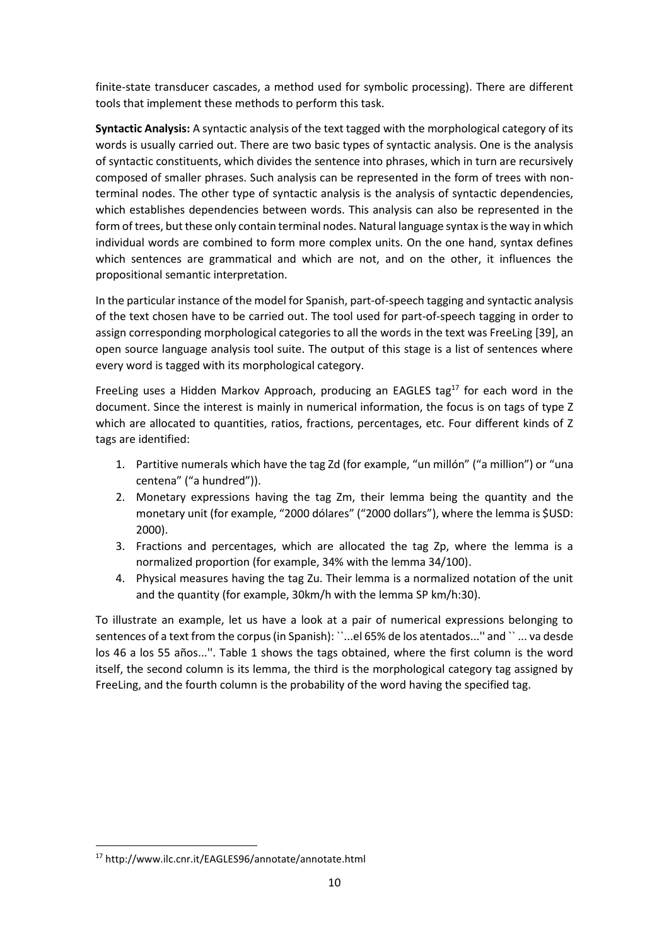finite-state transducer cascades, a method used for symbolic processing). There are different tools that implement these methods to perform this task.

**Syntactic Analysis:** A syntactic analysis of the text tagged with the morphological category of its words is usually carried out. There are two basic types of syntactic analysis. One is the analysis of syntactic constituents, which divides the sentence into phrases, which in turn are recursively composed of smaller phrases. Such analysis can be represented in the form of trees with nonterminal nodes. The other type of syntactic analysis is the analysis of syntactic dependencies, which establishes dependencies between words. This analysis can also be represented in the form of trees, but these only contain terminal nodes. Natural language syntax is the way in which individual words are combined to form more complex units. On the one hand, syntax defines which sentences are grammatical and which are not, and on the other, it influences the propositional semantic interpretation.

In the particular instance of the model for Spanish, part-of-speech tagging and syntactic analysis of the text chosen have to be carried out. The tool used for part-of-speech tagging in order to assign corresponding morphological categories to all the words in the text was FreeLing [39], an open source language analysis tool suite. The output of this stage is a list of sentences where every word is tagged with its morphological category.

FreeLing uses a Hidden Markov Approach, producing an EAGLES tag<sup>17</sup> for each word in the document. Since the interest is mainly in numerical information, the focus is on tags of type Z which are allocated to quantities, ratios, fractions, percentages, etc. Four different kinds of Z tags are identified:

- 1. Partitive numerals which have the tag Zd (for example, "un millón" ("a million") or "una centena" ("a hundred")).
- 2. Monetary expressions having the tag Zm, their lemma being the quantity and the monetary unit (for example, "2000 dólares" ("2000 dollars"), where the lemma is \$USD: 2000).
- 3. Fractions and percentages, which are allocated the tag Zp, where the lemma is a normalized proportion (for example, 34% with the lemma 34/100).
- 4. Physical measures having the tag Zu. Their lemma is a normalized notation of the unit and the quantity (for example, 30km/h with the lemma SP km/h:30).

To illustrate an example, let us have a look at a pair of numerical expressions belonging to sentences of a text from the corpus (in Spanish): ``...el 65% de los atentados...'' and `` ... va desde los 46 a los 55 años...''. Table 1 shows the tags obtained, where the first column is the word itself, the second column is its lemma, the third is the morphological category tag assigned by FreeLing, and the fourth column is the probability of the word having the specified tag.

**.** 

<sup>17</sup> http://www.ilc.cnr.it/EAGLES96/annotate/annotate.html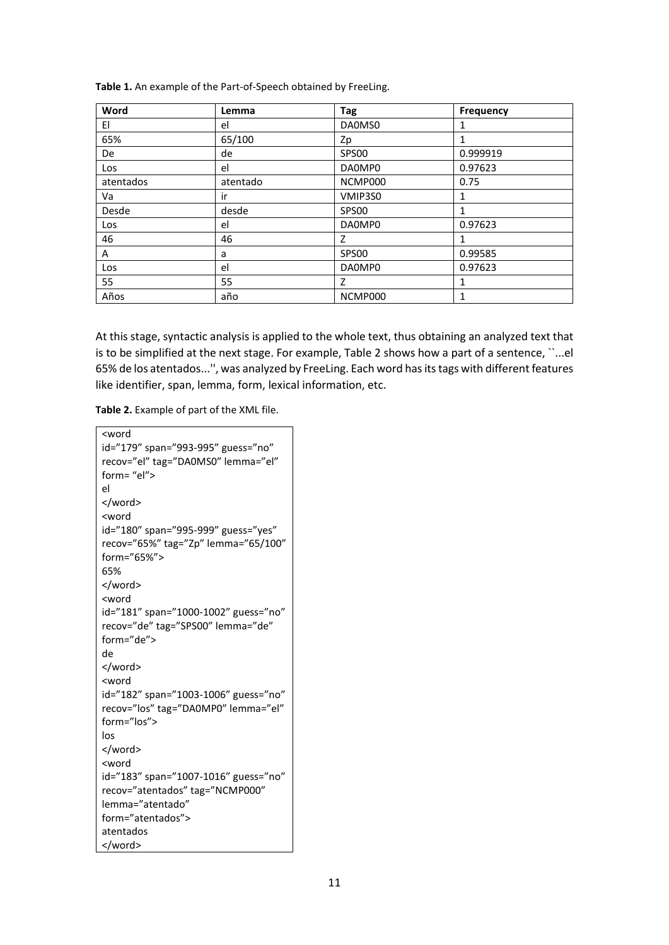**Table 1.** An example of the Part-of-Speech obtained by FreeLing.

| Word      | Lemma    | Tag     | <b>Frequency</b> |
|-----------|----------|---------|------------------|
| EI        | el       | DA0MS0  | 1                |
| 65%       | 65/100   | Zp      | 1                |
| De        | de       | SPS00   | 0.999919         |
| Los       | el       | DA0MP0  | 0.97623          |
| atentados | atentado | NCMP000 | 0.75             |
| Va        | ir       | VMIP3S0 | 1                |
| Desde     | desde    | SPS00   | 1                |
| Los       | el       | DA0MP0  | 0.97623          |
| 46        | 46       | Z       | 1                |
| A         | a        | SPS00   | 0.99585          |
| Los       | el       | DA0MP0  | 0.97623          |
| 55        | 55       | Z       | 1                |
| Años      | año      | NCMP000 | 1                |

At this stage, syntactic analysis is applied to the whole text, thus obtaining an analyzed text that is to be simplified at the next stage. For example, Table 2 shows how a part of a sentence, ``...el 65% de los atentados...'', was analyzed by FreeLing. Each word has its tags with different features like identifier, span, lemma, form, lexical information, etc.

**Table 2.** Example of part of the XML file.

```
<word
id="179" span="993-995" guess="no"
recov="el" tag="DA0MS0" lemma="el"
form= "el">
el
</word>
<word 
id="180" span="995-999" guess="yes"
recov="65%" tag="Zp" lemma="65/100"
form="65%">
65% 
</word>
<word
id="181" span="1000-1002" guess="no"
recov="de" tag="SPS00" lemma="de"
form="de">
de
</word>
<word 
id="182" span="1003-1006" guess="no"
recov="los" tag="DA0MP0" lemma="el"
form="los">
los 
</word>
<word
id="183" span="1007-1016" guess="no"
recov="atentados" tag="NCMP000"
lemma="atentado"
form="atentados">
atentados
</word>
```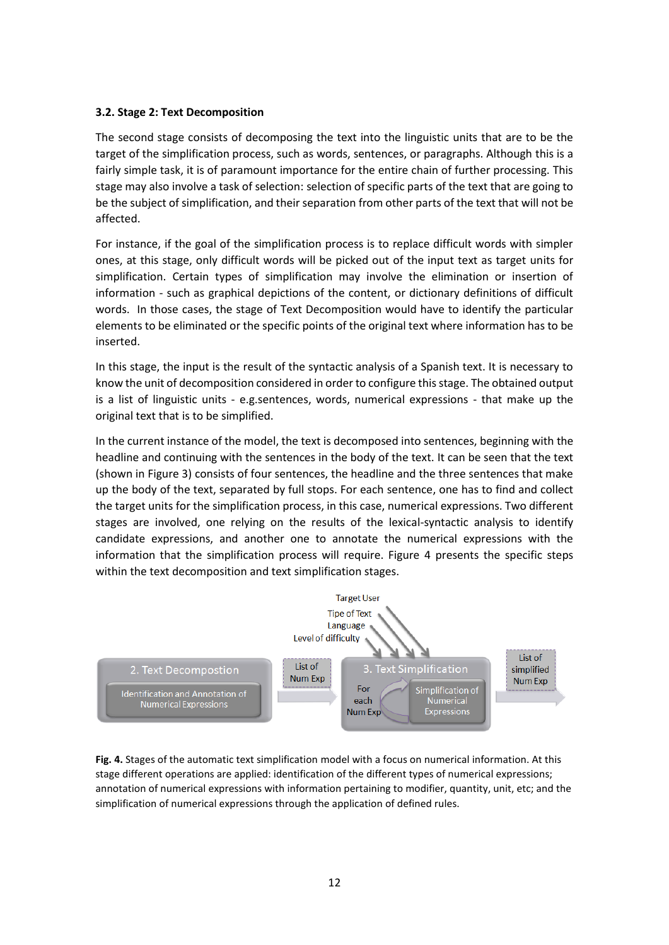#### **3.2. Stage 2: Text Decomposition**

The second stage consists of decomposing the text into the linguistic units that are to be the target of the simplification process, such as words, sentences, or paragraphs. Although this is a fairly simple task, it is of paramount importance for the entire chain of further processing. This stage may also involve a task of selection: selection of specific parts of the text that are going to be the subject of simplification, and their separation from other parts of the text that will not be affected.

For instance, if the goal of the simplification process is to replace difficult words with simpler ones, at this stage, only difficult words will be picked out of the input text as target units for simplification. Certain types of simplification may involve the elimination or insertion of information - such as graphical depictions of the content, or dictionary definitions of difficult words. In those cases, the stage of Text Decomposition would have to identify the particular elements to be eliminated or the specific points of the original text where information has to be inserted.

In this stage, the input is the result of the syntactic analysis of a Spanish text. It is necessary to know the unit of decomposition considered in order to configure this stage. The obtained output is a list of linguistic units - e.g.sentences, words, numerical expressions - that make up the original text that is to be simplified.

In the current instance of the model, the text is decomposed into sentences, beginning with the headline and continuing with the sentences in the body of the text. It can be seen that the text (shown in Figure 3) consists of four sentences, the headline and the three sentences that make up the body of the text, separated by full stops. For each sentence, one has to find and collect the target units for the simplification process, in this case, numerical expressions. Two different stages are involved, one relying on the results of the lexical-syntactic analysis to identify candidate expressions, and another one to annotate the numerical expressions with the information that the simplification process will require. Figure 4 presents the specific steps within the text decomposition and text simplification stages.



**Fig. 4.** Stages of the automatic text simplification model with a focus on numerical information. At this stage different operations are applied: identification of the different types of numerical expressions; annotation of numerical expressions with information pertaining to modifier, quantity, unit, etc; and the simplification of numerical expressions through the application of defined rules.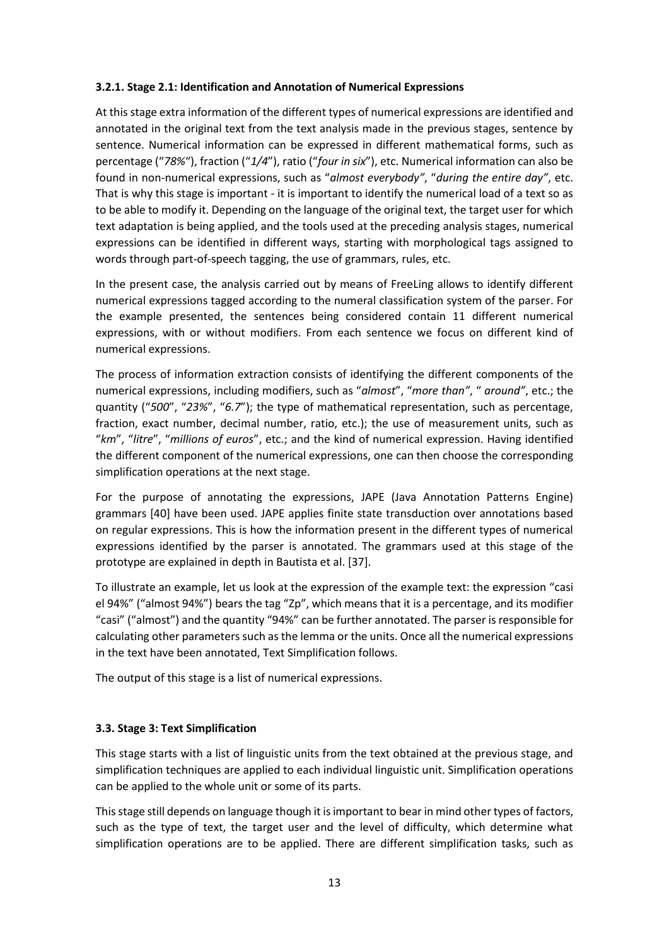#### **3.2.1. Stage 2.1: Identification and Annotation of Numerical Expressions**

At this stage extra information of the different types of numerical expressions are identified and annotated in the original text from the text analysis made in the previous stages, sentence by sentence. Numerical information can be expressed in different mathematical forms, such as percentage ("*78%*"), fraction ("*1/4*"), ratio ("*four in six*"), etc. Numerical information can also be found in non-numerical expressions, such as "*almost everybody"*, "*during the entire day"*, etc. That is why this stage is important - it is important to identify the numerical load of a text so as to be able to modify it. Depending on the language of the original text, the target user for which text adaptation is being applied, and the tools used at the preceding analysis stages, numerical expressions can be identified in different ways, starting with morphological tags assigned to words through part-of-speech tagging, the use of grammars, rules, etc.

In the present case, the analysis carried out by means of FreeLing allows to identify different numerical expressions tagged according to the numeral classification system of the parser. For the example presented, the sentences being considered contain 11 different numerical expressions, with or without modifiers. From each sentence we focus on different kind of numerical expressions.

The process of information extraction consists of identifying the different components of the numerical expressions, including modifiers, such as "*almost*", "*more than"*, " *around"*, etc.; the quantity ("*500*", "*23%*", "*6.7*"); the type of mathematical representation, such as percentage, fraction, exact number, decimal number, ratio, etc.); the use of measurement units, such as "*km*", "*litre*", "*millions of euros*", etc.; and the kind of numerical expression. Having identified the different component of the numerical expressions, one can then choose the corresponding simplification operations at the next stage.

For the purpose of annotating the expressions, JAPE (Java Annotation Patterns Engine) grammars [40] have been used. JAPE applies finite state transduction over annotations based on regular expressions. This is how the information present in the different types of numerical expressions identified by the parser is annotated. The grammars used at this stage of the prototype are explained in depth in Bautista et al. [37].

To illustrate an example, let us look at the expression of the example text: the expression "casi el 94%" ("almost 94%") bears the tag "Zp", which means that it is a percentage, and its modifier "casi" ("almost") and the quantity "94%" can be further annotated. The parser is responsible for calculating other parameters such asthe lemma or the units. Once all the numerical expressions in the text have been annotated, Text Simplification follows.

The output of this stage is a list of numerical expressions.

#### **3.3. Stage 3: Text Simplification**

This stage starts with a list of linguistic units from the text obtained at the previous stage, and simplification techniques are applied to each individual linguistic unit. Simplification operations can be applied to the whole unit or some of its parts.

This stage still depends on language though it is important to bear in mind other types of factors, such as the type of text, the target user and the level of difficulty, which determine what simplification operations are to be applied. There are different simplification tasks, such as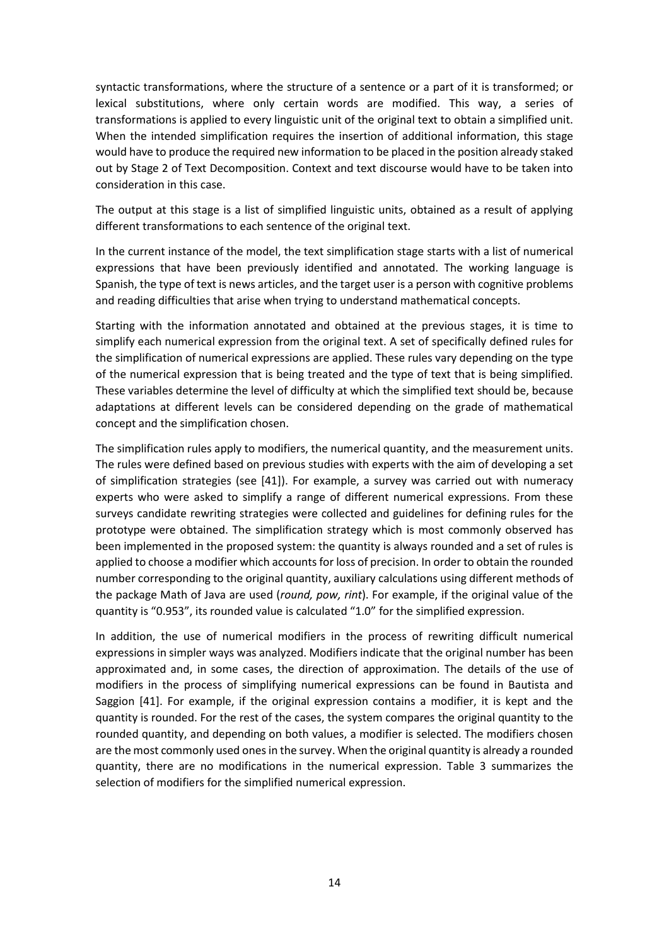syntactic transformations, where the structure of a sentence or a part of it is transformed; or lexical substitutions, where only certain words are modified. This way, a series of transformations is applied to every linguistic unit of the original text to obtain a simplified unit. When the intended simplification requires the insertion of additional information, this stage would have to produce the required new information to be placed in the position already staked out by Stage 2 of Text Decomposition. Context and text discourse would have to be taken into consideration in this case.

The output at this stage is a list of simplified linguistic units, obtained as a result of applying different transformations to each sentence of the original text.

In the current instance of the model, the text simplification stage starts with a list of numerical expressions that have been previously identified and annotated. The working language is Spanish, the type of text is news articles, and the target user is a person with cognitive problems and reading difficulties that arise when trying to understand mathematical concepts.

Starting with the information annotated and obtained at the previous stages, it is time to simplify each numerical expression from the original text. A set of specifically defined rules for the simplification of numerical expressions are applied. These rules vary depending on the type of the numerical expression that is being treated and the type of text that is being simplified. These variables determine the level of difficulty at which the simplified text should be, because adaptations at different levels can be considered depending on the grade of mathematical concept and the simplification chosen.

The simplification rules apply to modifiers, the numerical quantity, and the measurement units. The rules were defined based on previous studies with experts with the aim of developing a set of simplification strategies (see [41]). For example, a survey was carried out with numeracy experts who were asked to simplify a range of different numerical expressions. From these surveys candidate rewriting strategies were collected and guidelines for defining rules for the prototype were obtained. The simplification strategy which is most commonly observed has been implemented in the proposed system: the quantity is always rounded and a set of rules is applied to choose a modifier which accounts for loss of precision. In order to obtain the rounded number corresponding to the original quantity, auxiliary calculations using different methods of the package Math of Java are used (*round, pow, rint*). For example, if the original value of the quantity is "0.953", its rounded value is calculated "1.0" for the simplified expression.

In addition, the use of numerical modifiers in the process of rewriting difficult numerical expressions in simpler ways was analyzed. Modifiers indicate that the original number has been approximated and, in some cases, the direction of approximation. The details of the use of modifiers in the process of simplifying numerical expressions can be found in Bautista and Saggion [41]. For example, if the original expression contains a modifier, it is kept and the quantity is rounded. For the rest of the cases, the system compares the original quantity to the rounded quantity, and depending on both values, a modifier is selected. The modifiers chosen are the most commonly used ones in the survey. When the original quantity is already a rounded quantity, there are no modifications in the numerical expression. Table 3 summarizes the selection of modifiers for the simplified numerical expression.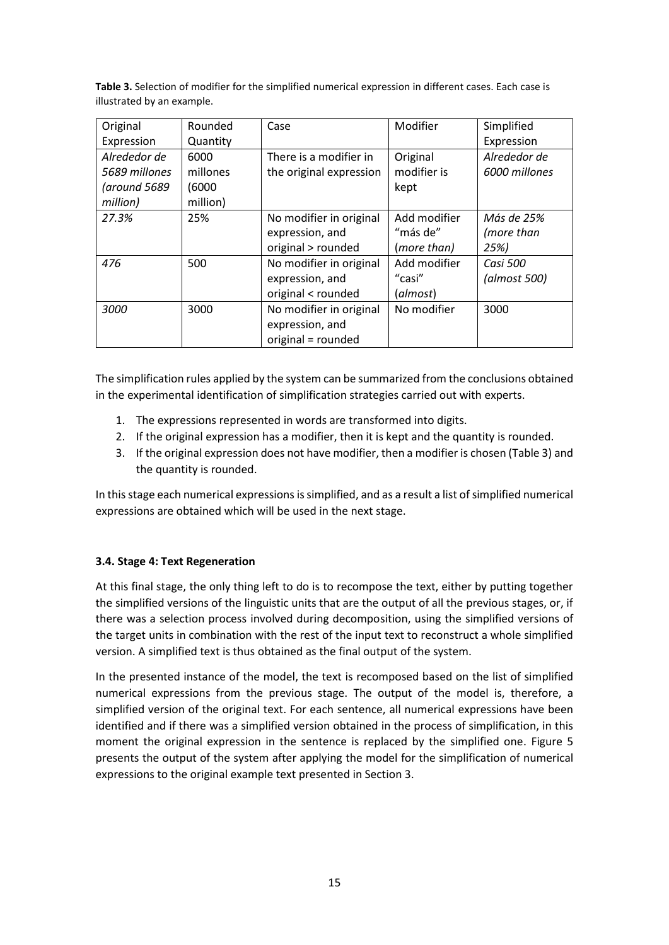**Table 3.** Selection of modifier for the simplified numerical expression in different cases. Each case is illustrated by an example.

| Original      | Rounded  | Case                    | Modifier     | Simplified    |
|---------------|----------|-------------------------|--------------|---------------|
| Expression    | Quantity |                         |              | Expression    |
| Alrededor de  | 6000     | There is a modifier in  | Original     | Alrededor de  |
| 5689 millones | millones | the original expression | modifier is  | 6000 millones |
| (around 5689  | (6000)   |                         | kept         |               |
| million)      | million) |                         |              |               |
| 27.3%         | 25%      | No modifier in original | Add modifier | Más de 25%    |
|               |          | expression, and         | "más de"     | (more than    |
|               |          | original > rounded      | (more than)  | 25%)          |
| 476           | 500      | No modifier in original | Add modifier | Casi 500      |
|               |          | expression, and         | "casi"       | (almost 500)  |
|               |          | original < rounded      | (almost)     |               |
| 3000          | 3000     | No modifier in original | No modifier  | 3000          |
|               |          | expression, and         |              |               |
|               |          | original = rounded      |              |               |

The simplification rules applied by the system can be summarized from the conclusions obtained in the experimental identification of simplification strategies carried out with experts.

- 1. The expressions represented in words are transformed into digits.
- 2. If the original expression has a modifier, then it is kept and the quantity is rounded.
- 3. If the original expression does not have modifier, then a modifier is chosen (Table 3) and the quantity is rounded.

In this stage each numerical expressions is simplified, and as a result a list of simplified numerical expressions are obtained which will be used in the next stage.

# **3.4. Stage 4: Text Regeneration**

At this final stage, the only thing left to do is to recompose the text, either by putting together the simplified versions of the linguistic units that are the output of all the previous stages, or, if there was a selection process involved during decomposition, using the simplified versions of the target units in combination with the rest of the input text to reconstruct a whole simplified version. A simplified text is thus obtained as the final output of the system.

In the presented instance of the model, the text is recomposed based on the list of simplified numerical expressions from the previous stage. The output of the model is, therefore, a simplified version of the original text. For each sentence, all numerical expressions have been identified and if there was a simplified version obtained in the process of simplification, in this moment the original expression in the sentence is replaced by the simplified one. Figure 5 presents the output of the system after applying the model for the simplification of numerical expressions to the original example text presented in Section 3.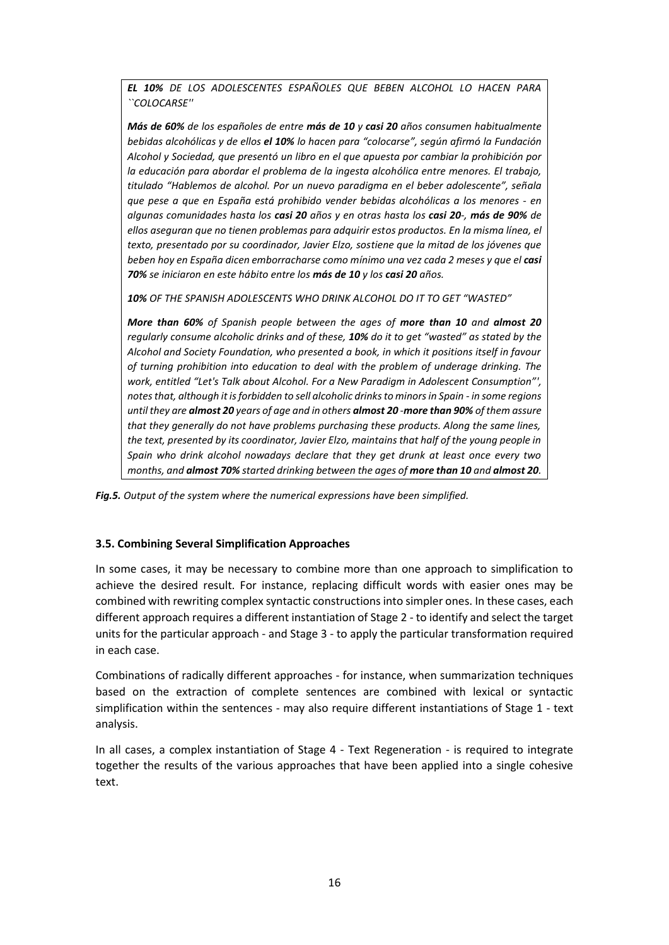*EL 10% DE LOS ADOLESCENTES ESPAÑOLES QUE BEBEN ALCOHOL LO HACEN PARA ``COLOCARSE''*

*Más de 60% de los españoles de entre más de 10 y casi 20 años consumen habitualmente bebidas alcohólicas y de ellos el 10% lo hacen para "colocarse", según afirmó la Fundación Alcohol y Sociedad, que presentó un libro en el que apuesta por cambiar la prohibición por la educación para abordar el problema de la ingesta alcohólica entre menores. El trabajo, titulado "Hablemos de alcohol. Por un nuevo paradigma en el beber adolescente", señala que pese a que en España está prohibido vender bebidas alcohólicas a los menores - en algunas comunidades hasta los casi 20 años y en otras hasta los casi 20-, más de 90% de ellos aseguran que no tienen problemas para adquirir estos productos. En la misma línea, el texto, presentado por su coordinador, Javier Elzo, sostiene que la mitad de los jóvenes que beben hoy en España dicen emborracharse como mínimo una vez cada 2 meses y que el casi 70% se iniciaron en este hábito entre los más de 10 y los casi 20 años.*

*10% OF THE SPANISH ADOLESCENTS WHO DRINK ALCOHOL DO IT TO GET "WASTED"*

*More than 60% of Spanish people between the ages of more than 10 and almost 20 regularly consume alcoholic drinks and of these, 10% do it to get "wasted" as stated by the Alcohol and Society Foundation, who presented a book, in which it positions itself in favour of turning prohibition into education to deal with the problem of underage drinking. The work, entitled "Let's Talk about Alcohol. For a New Paradigm in Adolescent Consumption"', notes that, although it is forbidden to sell alcoholic drinks to minors in Spain - in some regions until they are almost 20 years of age and in others almost 20 -more than 90% of them assure that they generally do not have problems purchasing these products. Along the same lines, the text, presented by its coordinator, Javier Elzo, maintains that half of the young people in Spain who drink alcohol nowadays declare that they get drunk at least once every two months, and almost 70% started drinking between the ages of more than 10 and almost 20.*

*Fig.5. Output of the system where the numerical expressions have been simplified.* 

# **3.5. Combining Several Simplification Approaches**

In some cases, it may be necessary to combine more than one approach to simplification to achieve the desired result. For instance, replacing difficult words with easier ones may be combined with rewriting complex syntactic constructions into simpler ones. In these cases, each different approach requires a different instantiation of Stage 2 - to identify and select the target units for the particular approach - and Stage 3 - to apply the particular transformation required in each case.

Combinations of radically different approaches - for instance, when summarization techniques based on the extraction of complete sentences are combined with lexical or syntactic simplification within the sentences - may also require different instantiations of Stage 1 - text analysis.

In all cases, a complex instantiation of Stage 4 - Text Regeneration - is required to integrate together the results of the various approaches that have been applied into a single cohesive text.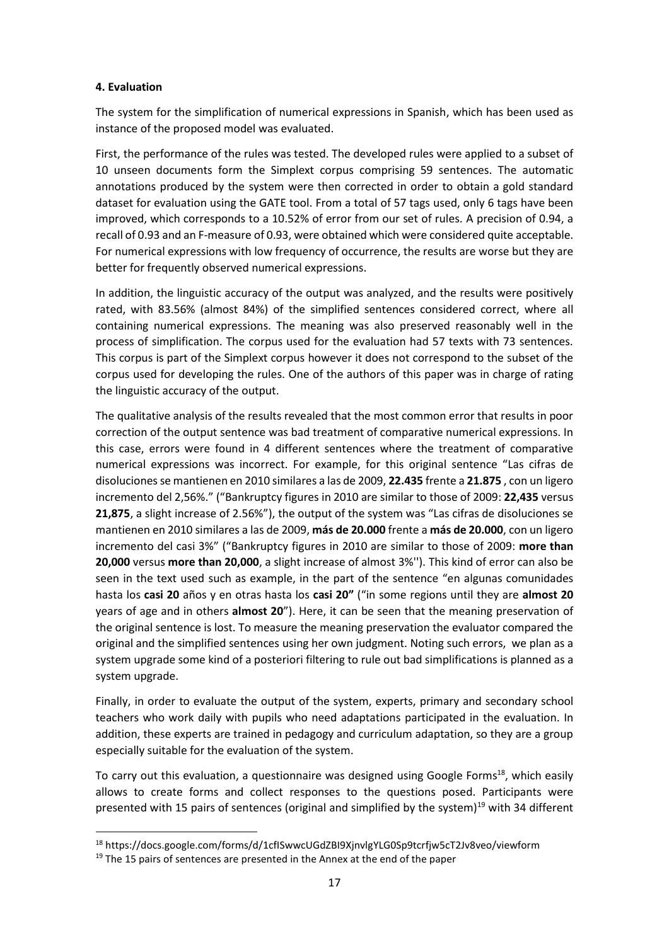#### **4. Evaluation**

1

The system for the simplification of numerical expressions in Spanish, which has been used as instance of the proposed model was evaluated.

First, the performance of the rules was tested. The developed rules were applied to a subset of 10 unseen documents form the Simplext corpus comprising 59 sentences. The automatic annotations produced by the system were then corrected in order to obtain a gold standard dataset for evaluation using the GATE tool. From a total of 57 tags used, only 6 tags have been improved, which corresponds to a 10.52% of error from our set of rules. A precision of 0.94, a recall of 0.93 and an F-measure of 0.93, were obtained which were considered quite acceptable. For numerical expressions with low frequency of occurrence, the results are worse but they are better for frequently observed numerical expressions.

In addition, the linguistic accuracy of the output was analyzed, and the results were positively rated, with 83.56% (almost 84%) of the simplified sentences considered correct, where all containing numerical expressions. The meaning was also preserved reasonably well in the process of simplification. The corpus used for the evaluation had 57 texts with 73 sentences. This corpus is part of the Simplext corpus however it does not correspond to the subset of the corpus used for developing the rules. One of the authors of this paper was in charge of rating the linguistic accuracy of the output.

The qualitative analysis of the results revealed that the most common error that results in poor correction of the output sentence was bad treatment of comparative numerical expressions. In this case, errors were found in 4 different sentences where the treatment of comparative numerical expressions was incorrect. For example, for this original sentence "Las cifras de disoluciones se mantienen en 2010 similares a las de 2009, **22.435** frente a **21.875** , con un ligero incremento del 2,56%." ("Bankruptcy figures in 2010 are similar to those of 2009: **22,435** versus **21,875**, a slight increase of 2.56%"), the output of the system was "Las cifras de disoluciones se mantienen en 2010 similares a las de 2009, **más de 20.000** frente a **más de 20.000**, con un ligero incremento del casi 3%" ("Bankruptcy figures in 2010 are similar to those of 2009: **more than 20,000** versus **more than 20,000**, a slight increase of almost 3%''). This kind of error can also be seen in the text used such as example, in the part of the sentence "en algunas comunidades hasta los **casi 20** años y en otras hasta los **casi 20"** ("in some regions until they are **almost 20** years of age and in others **almost 20**"). Here, it can be seen that the meaning preservation of the original sentence is lost. To measure the meaning preservation the evaluator compared the original and the simplified sentences using her own judgment. Noting such errors, we plan as a system upgrade some kind of a posteriori filtering to rule out bad simplifications is planned as a system upgrade.

Finally, in order to evaluate the output of the system, experts, primary and secondary school teachers who work daily with pupils who need adaptations participated in the evaluation. In addition, these experts are trained in pedagogy and curriculum adaptation, so they are a group especially suitable for the evaluation of the system.

To carry out this evaluation, a questionnaire was designed using Google Forms<sup>18</sup>, which easily allows to create forms and collect responses to the questions posed. Participants were presented with 15 pairs of sentences (original and simplified by the system)<sup>19</sup> with 34 different

<sup>18</sup> https://docs.google.com/forms/d/1cfISwwcUGdZBI9XjnvlgYLG0Sp9tcrfjw5cT2Jv8veo/viewform

<sup>&</sup>lt;sup>19</sup> The 15 pairs of sentences are presented in the Annex at the end of the paper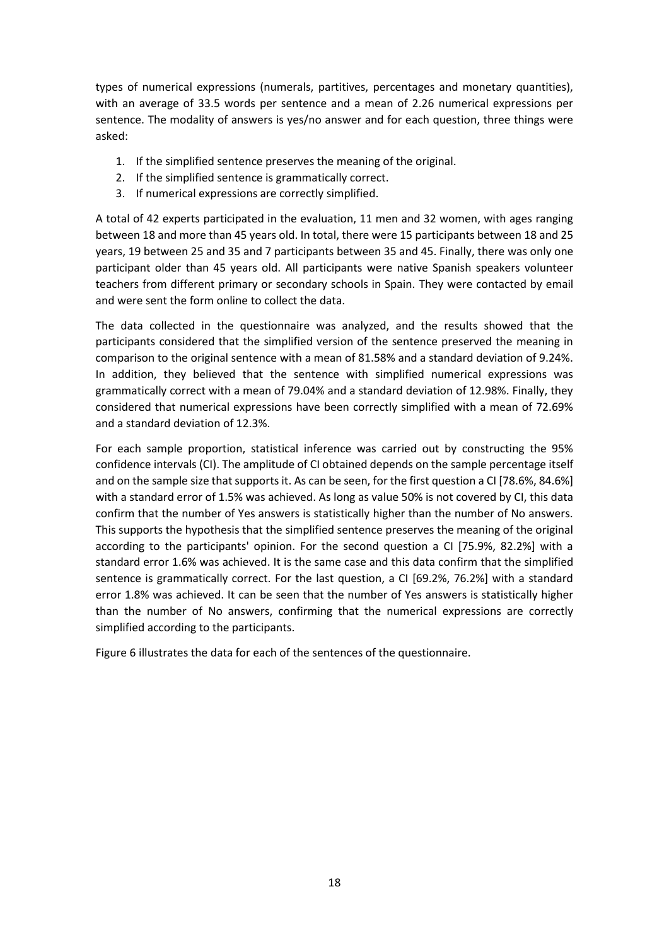types of numerical expressions (numerals, partitives, percentages and monetary quantities), with an average of 33.5 words per sentence and a mean of 2.26 numerical expressions per sentence. The modality of answers is yes/no answer and for each question, three things were asked:

- 1. If the simplified sentence preserves the meaning of the original.
- 2. If the simplified sentence is grammatically correct.
- 3. If numerical expressions are correctly simplified.

A total of 42 experts participated in the evaluation, 11 men and 32 women, with ages ranging between 18 and more than 45 years old. In total, there were 15 participants between 18 and 25 years, 19 between 25 and 35 and 7 participants between 35 and 45. Finally, there was only one participant older than 45 years old. All participants were native Spanish speakers volunteer teachers from different primary or secondary schools in Spain. They were contacted by email and were sent the form online to collect the data.

The data collected in the questionnaire was analyzed, and the results showed that the participants considered that the simplified version of the sentence preserved the meaning in comparison to the original sentence with a mean of 81.58% and a standard deviation of 9.24%. In addition, they believed that the sentence with simplified numerical expressions was grammatically correct with a mean of 79.04% and a standard deviation of 12.98%. Finally, they considered that numerical expressions have been correctly simplified with a mean of 72.69% and a standard deviation of 12.3%.

For each sample proportion, statistical inference was carried out by constructing the 95% confidence intervals (CI). The amplitude of CI obtained depends on the sample percentage itself and on the sample size that supports it. As can be seen, for the first question a CI [78.6%, 84.6%] with a standard error of 1.5% was achieved. As long as value 50% is not covered by CI, this data confirm that the number of Yes answers is statistically higher than the number of No answers. This supports the hypothesis that the simplified sentence preserves the meaning of the original according to the participants' opinion. For the second question a CI [75.9%, 82.2%] with a standard error 1.6% was achieved. It is the same case and this data confirm that the simplified sentence is grammatically correct. For the last question, a CI [69.2%, 76.2%] with a standard error 1.8% was achieved. It can be seen that the number of Yes answers is statistically higher than the number of No answers, confirming that the numerical expressions are correctly simplified according to the participants.

Figure 6 illustrates the data for each of the sentences of the questionnaire.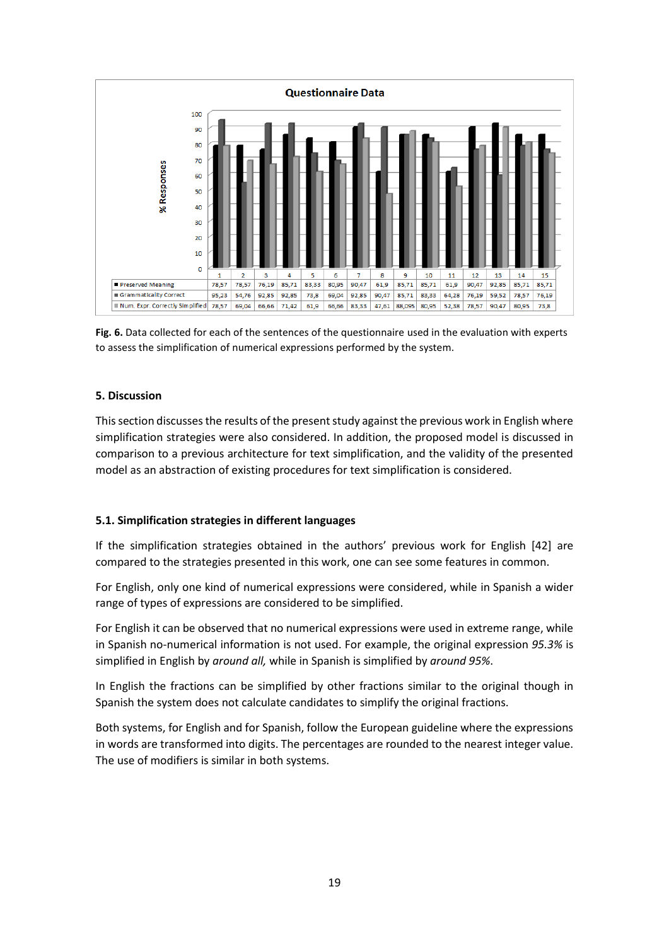

**Fig. 6.** Data collected for each of the sentences of the questionnaire used in the evaluation with experts to assess the simplification of numerical expressions performed by the system.

#### **5. Discussion**

This section discussesthe results of the present study against the previous work in English where simplification strategies were also considered. In addition, the proposed model is discussed in comparison to a previous architecture for text simplification, and the validity of the presented model as an abstraction of existing procedures for text simplification is considered.

# **5.1. Simplification strategies in different languages**

If the simplification strategies obtained in the authors' previous work for English [42] are compared to the strategies presented in this work, one can see some features in common.

For English, only one kind of numerical expressions were considered, while in Spanish a wider range of types of expressions are considered to be simplified.

For English it can be observed that no numerical expressions were used in extreme range, while in Spanish no-numerical information is not used. For example, the original expression *95.3%* is simplified in English by *around all,* while in Spanish is simplified by *around 95%*.

In English the fractions can be simplified by other fractions similar to the original though in Spanish the system does not calculate candidates to simplify the original fractions.

Both systems, for English and for Spanish, follow the European guideline where the expressions in words are transformed into digits. The percentages are rounded to the nearest integer value. The use of modifiers is similar in both systems.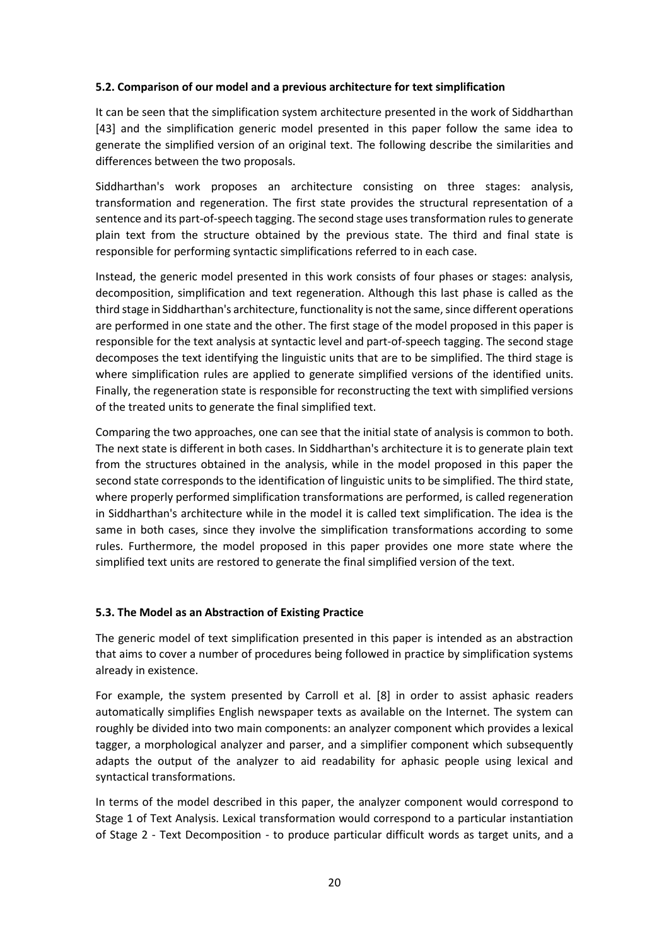#### **5.2. Comparison of our model and a previous architecture for text simplification**

It can be seen that the simplification system architecture presented in the work of Siddharthan [43] and the simplification generic model presented in this paper follow the same idea to generate the simplified version of an original text. The following describe the similarities and differences between the two proposals.

Siddharthan's work proposes an architecture consisting on three stages: analysis, transformation and regeneration. The first state provides the structural representation of a sentence and its part-of-speech tagging. The second stage uses transformation rules to generate plain text from the structure obtained by the previous state. The third and final state is responsible for performing syntactic simplifications referred to in each case.

Instead, the generic model presented in this work consists of four phases or stages: analysis, decomposition, simplification and text regeneration. Although this last phase is called as the third stage in Siddharthan's architecture, functionality is not the same, since different operations are performed in one state and the other. The first stage of the model proposed in this paper is responsible for the text analysis at syntactic level and part-of-speech tagging. The second stage decomposes the text identifying the linguistic units that are to be simplified. The third stage is where simplification rules are applied to generate simplified versions of the identified units. Finally, the regeneration state is responsible for reconstructing the text with simplified versions of the treated units to generate the final simplified text.

Comparing the two approaches, one can see that the initial state of analysis is common to both. The next state is different in both cases. In Siddharthan's architecture it is to generate plain text from the structures obtained in the analysis, while in the model proposed in this paper the second state corresponds to the identification of linguistic units to be simplified. The third state, where properly performed simplification transformations are performed, is called regeneration in Siddharthan's architecture while in the model it is called text simplification. The idea is the same in both cases, since they involve the simplification transformations according to some rules. Furthermore, the model proposed in this paper provides one more state where the simplified text units are restored to generate the final simplified version of the text.

#### **5.3. The Model as an Abstraction of Existing Practice**

The generic model of text simplification presented in this paper is intended as an abstraction that aims to cover a number of procedures being followed in practice by simplification systems already in existence.

For example, the system presented by Carroll et al. [8] in order to assist aphasic readers automatically simplifies English newspaper texts as available on the Internet. The system can roughly be divided into two main components: an analyzer component which provides a lexical tagger, a morphological analyzer and parser, and a simplifier component which subsequently adapts the output of the analyzer to aid readability for aphasic people using lexical and syntactical transformations.

In terms of the model described in this paper, the analyzer component would correspond to Stage 1 of Text Analysis. Lexical transformation would correspond to a particular instantiation of Stage 2 - Text Decomposition - to produce particular difficult words as target units, and a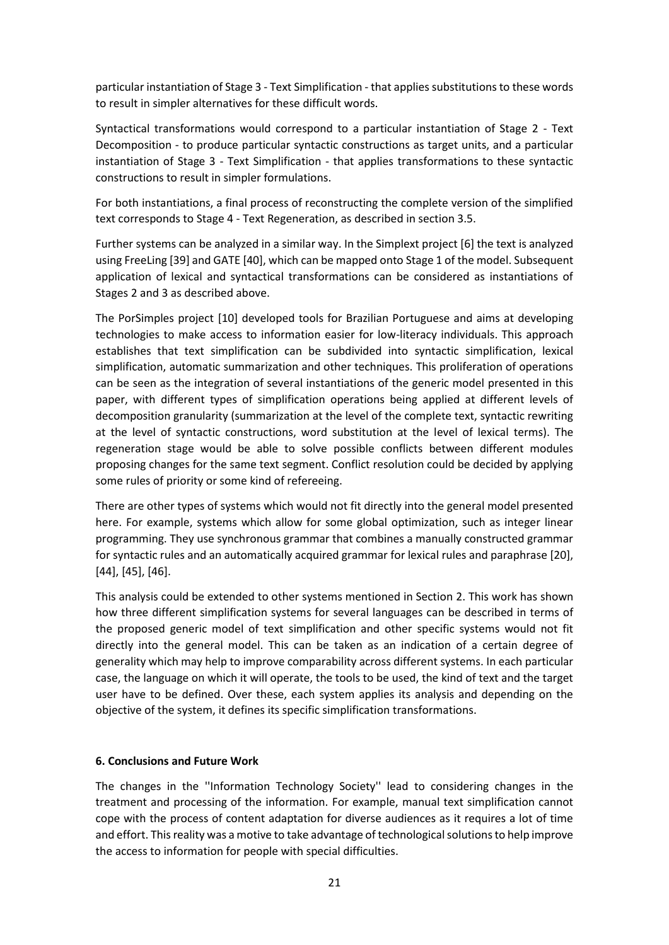particular instantiation of Stage 3 - Text Simplification - that applies substitutions to these words to result in simpler alternatives for these difficult words.

Syntactical transformations would correspond to a particular instantiation of Stage 2 - Text Decomposition - to produce particular syntactic constructions as target units, and a particular instantiation of Stage 3 - Text Simplification - that applies transformations to these syntactic constructions to result in simpler formulations.

For both instantiations, a final process of reconstructing the complete version of the simplified text corresponds to Stage 4 - Text Regeneration, as described in section 3.5.

Further systems can be analyzed in a similar way. In the Simplext project [6] the text is analyzed using FreeLing [39] and GATE [40], which can be mapped onto Stage 1 of the model. Subsequent application of lexical and syntactical transformations can be considered as instantiations of Stages 2 and 3 as described above.

The PorSimples project [10] developed tools for Brazilian Portuguese and aims at developing technologies to make access to information easier for low-literacy individuals. This approach establishes that text simplification can be subdivided into syntactic simplification, lexical simplification, automatic summarization and other techniques. This proliferation of operations can be seen as the integration of several instantiations of the generic model presented in this paper, with different types of simplification operations being applied at different levels of decomposition granularity (summarization at the level of the complete text, syntactic rewriting at the level of syntactic constructions, word substitution at the level of lexical terms). The regeneration stage would be able to solve possible conflicts between different modules proposing changes for the same text segment. Conflict resolution could be decided by applying some rules of priority or some kind of refereeing.

There are other types of systems which would not fit directly into the general model presented here. For example, systems which allow for some global optimization, such as integer linear programming. They use synchronous grammar that combines a manually constructed grammar for syntactic rules and an automatically acquired grammar for lexical rules and paraphrase [20], [44], [45], [46].

This analysis could be extended to other systems mentioned in Section 2. This work has shown how three different simplification systems for several languages can be described in terms of the proposed generic model of text simplification and other specific systems would not fit directly into the general model. This can be taken as an indication of a certain degree of generality which may help to improve comparability across different systems. In each particular case, the language on which it will operate, the tools to be used, the kind of text and the target user have to be defined. Over these, each system applies its analysis and depending on the objective of the system, it defines its specific simplification transformations.

#### **6. Conclusions and Future Work**

The changes in the ''Information Technology Society'' lead to considering changes in the treatment and processing of the information. For example, manual text simplification cannot cope with the process of content adaptation for diverse audiences as it requires a lot of time and effort. This reality was a motive to take advantage of technological solutions to help improve the access to information for people with special difficulties.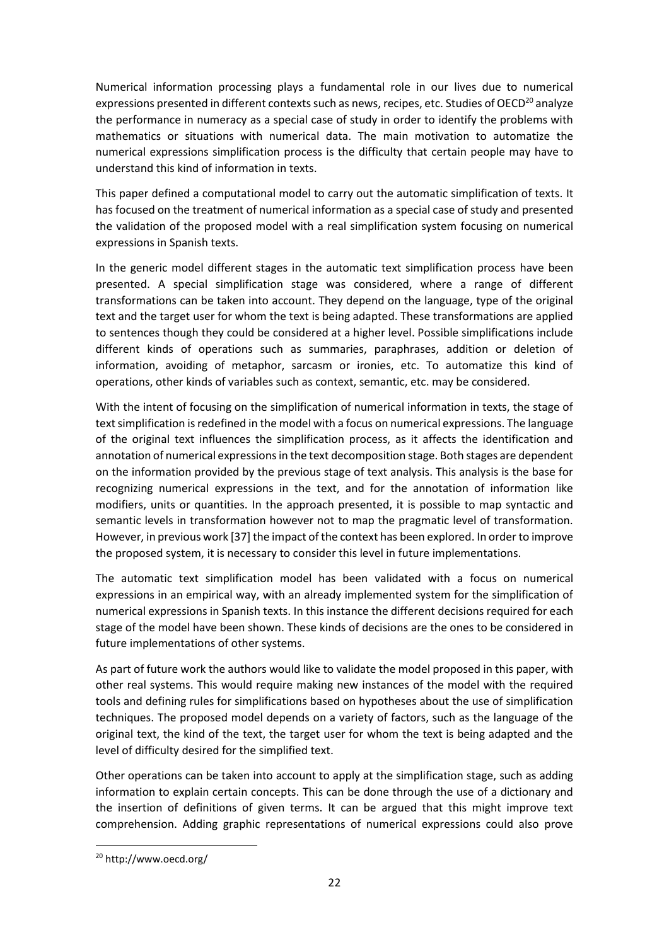Numerical information processing plays a fundamental role in our lives due to numerical expressions presented in different contexts such as news, recipes, etc. Studies of OECD<sup>20</sup> analyze the performance in numeracy as a special case of study in order to identify the problems with mathematics or situations with numerical data. The main motivation to automatize the numerical expressions simplification process is the difficulty that certain people may have to understand this kind of information in texts.

This paper defined a computational model to carry out the automatic simplification of texts. It has focused on the treatment of numerical information as a special case of study and presented the validation of the proposed model with a real simplification system focusing on numerical expressions in Spanish texts.

In the generic model different stages in the automatic text simplification process have been presented. A special simplification stage was considered, where a range of different transformations can be taken into account. They depend on the language, type of the original text and the target user for whom the text is being adapted. These transformations are applied to sentences though they could be considered at a higher level. Possible simplifications include different kinds of operations such as summaries, paraphrases, addition or deletion of information, avoiding of metaphor, sarcasm or ironies, etc. To automatize this kind of operations, other kinds of variables such as context, semantic, etc. may be considered.

With the intent of focusing on the simplification of numerical information in texts, the stage of text simplification is redefined in the model with a focus on numerical expressions. The language of the original text influences the simplification process, as it affects the identification and annotation of numerical expressions in the text decomposition stage. Both stages are dependent on the information provided by the previous stage of text analysis. This analysis is the base for recognizing numerical expressions in the text, and for the annotation of information like modifiers, units or quantities. In the approach presented, it is possible to map syntactic and semantic levels in transformation however not to map the pragmatic level of transformation. However, in previous work [37] the impact of the context has been explored. In order to improve the proposed system, it is necessary to consider this level in future implementations.

The automatic text simplification model has been validated with a focus on numerical expressions in an empirical way, with an already implemented system for the simplification of numerical expressions in Spanish texts. In this instance the different decisions required for each stage of the model have been shown. These kinds of decisions are the ones to be considered in future implementations of other systems.

As part of future work the authors would like to validate the model proposed in this paper, with other real systems. This would require making new instances of the model with the required tools and defining rules for simplifications based on hypotheses about the use of simplification techniques. The proposed model depends on a variety of factors, such as the language of the original text, the kind of the text, the target user for whom the text is being adapted and the level of difficulty desired for the simplified text.

Other operations can be taken into account to apply at the simplification stage, such as adding information to explain certain concepts. This can be done through the use of a dictionary and the insertion of definitions of given terms. It can be argued that this might improve text comprehension. Adding graphic representations of numerical expressions could also prove

**.** 

<sup>20</sup> http://www.oecd.org/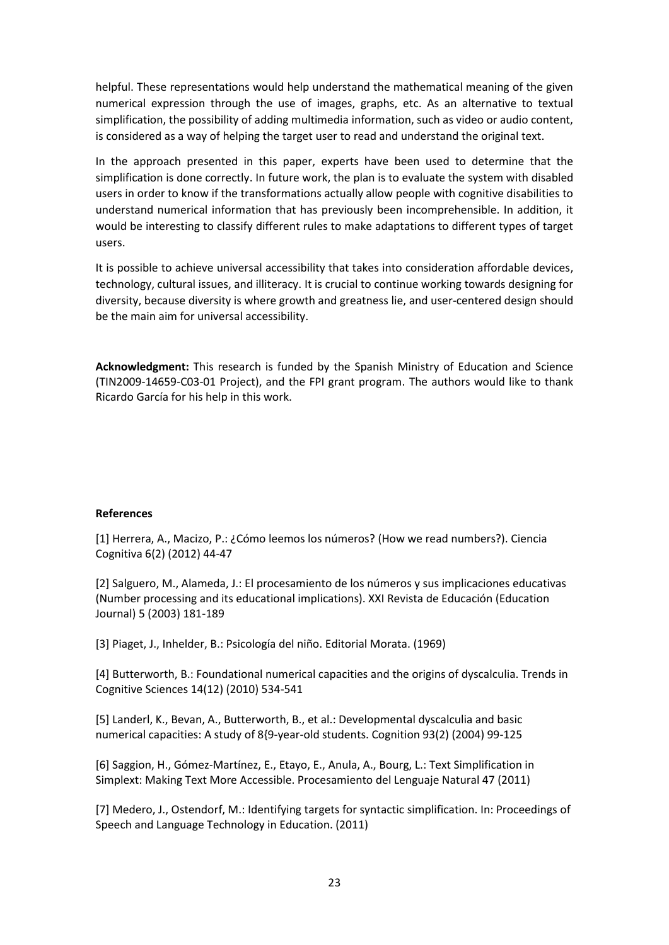helpful. These representations would help understand the mathematical meaning of the given numerical expression through the use of images, graphs, etc. As an alternative to textual simplification, the possibility of adding multimedia information, such as video or audio content, is considered as a way of helping the target user to read and understand the original text.

In the approach presented in this paper, experts have been used to determine that the simplification is done correctly. In future work, the plan is to evaluate the system with disabled users in order to know if the transformations actually allow people with cognitive disabilities to understand numerical information that has previously been incomprehensible. In addition, it would be interesting to classify different rules to make adaptations to different types of target users.

It is possible to achieve universal accessibility that takes into consideration affordable devices, technology, cultural issues, and illiteracy. It is crucial to continue working towards designing for diversity, because diversity is where growth and greatness lie, and user-centered design should be the main aim for universal accessibility.

**Acknowledgment:** This research is funded by the Spanish Ministry of Education and Science (TIN2009-14659-C03-01 Project), and the FPI grant program. The authors would like to thank Ricardo García for his help in this work.

#### **References**

[1] Herrera, A., Macizo, P.: ¿Cómo leemos los números? (How we read numbers?). Ciencia Cognitiva 6(2) (2012) 44-47

[2] Salguero, M., Alameda, J.: El procesamiento de los números y sus implicaciones educativas (Number processing and its educational implications). XXI Revista de Educación (Education Journal) 5 (2003) 181-189

[3] Piaget, J., Inhelder, B.: Psicología del niño. Editorial Morata. (1969)

[4] Butterworth, B.: Foundational numerical capacities and the origins of dyscalculia. Trends in Cognitive Sciences 14(12) (2010) 534-541

[5] Landerl, K., Bevan, A., Butterworth, B., et al.: Developmental dyscalculia and basic numerical capacities: A study of 8{9-year-old students. Cognition 93(2) (2004) 99-125

[6] Saggion, H., Gómez-Martínez, E., Etayo, E., Anula, A., Bourg, L.: Text Simplification in Simplext: Making Text More Accessible. Procesamiento del Lenguaje Natural 47 (2011)

[7] Medero, J., Ostendorf, M.: Identifying targets for syntactic simplification. In: Proceedings of Speech and Language Technology in Education. (2011)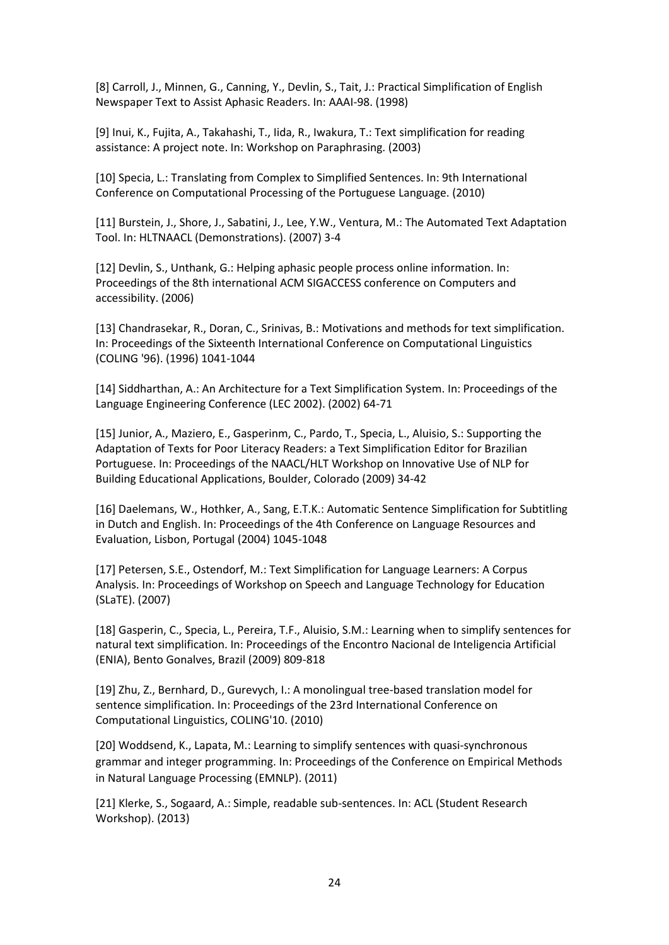[8] Carroll, J., Minnen, G., Canning, Y., Devlin, S., Tait, J.: Practical Simplification of English Newspaper Text to Assist Aphasic Readers. In: AAAI-98. (1998)

[9] Inui, K., Fujita, A., Takahashi, T., Iida, R., Iwakura, T.: Text simplification for reading assistance: A project note. In: Workshop on Paraphrasing. (2003)

[10] Specia, L.: Translating from Complex to Simplified Sentences. In: 9th International Conference on Computational Processing of the Portuguese Language. (2010)

[11] Burstein, J., Shore, J., Sabatini, J., Lee, Y.W., Ventura, M.: The Automated Text Adaptation Tool. In: HLTNAACL (Demonstrations). (2007) 3-4

[12] Devlin, S., Unthank, G.: Helping aphasic people process online information. In: Proceedings of the 8th international ACM SIGACCESS conference on Computers and accessibility. (2006)

[13] Chandrasekar, R., Doran, C., Srinivas, B.: Motivations and methods for text simplification. In: Proceedings of the Sixteenth International Conference on Computational Linguistics (COLING '96). (1996) 1041-1044

[14] Siddharthan, A.: An Architecture for a Text Simplification System. In: Proceedings of the Language Engineering Conference (LEC 2002). (2002) 64-71

[15] Junior, A., Maziero, E., Gasperinm, C., Pardo, T., Specia, L., Aluisio, S.: Supporting the Adaptation of Texts for Poor Literacy Readers: a Text Simplification Editor for Brazilian Portuguese. In: Proceedings of the NAACL/HLT Workshop on Innovative Use of NLP for Building Educational Applications, Boulder, Colorado (2009) 34-42

[16] Daelemans, W., Hothker, A., Sang, E.T.K.: Automatic Sentence Simplification for Subtitling in Dutch and English. In: Proceedings of the 4th Conference on Language Resources and Evaluation, Lisbon, Portugal (2004) 1045-1048

[17] Petersen, S.E., Ostendorf, M.: Text Simplification for Language Learners: A Corpus Analysis. In: Proceedings of Workshop on Speech and Language Technology for Education (SLaTE). (2007)

[18] Gasperin, C., Specia, L., Pereira, T.F., Aluisio, S.M.: Learning when to simplify sentences for natural text simplification. In: Proceedings of the Encontro Nacional de Inteligencia Artificial (ENIA), Bento Gonalves, Brazil (2009) 809-818

[19] Zhu, Z., Bernhard, D., Gurevych, I.: A monolingual tree-based translation model for sentence simplification. In: Proceedings of the 23rd International Conference on Computational Linguistics, COLING'10. (2010)

[20] Woddsend, K., Lapata, M.: Learning to simplify sentences with quasi-synchronous grammar and integer programming. In: Proceedings of the Conference on Empirical Methods in Natural Language Processing (EMNLP). (2011)

[21] Klerke, S., Sogaard, A.: Simple, readable sub-sentences. In: ACL (Student Research Workshop). (2013)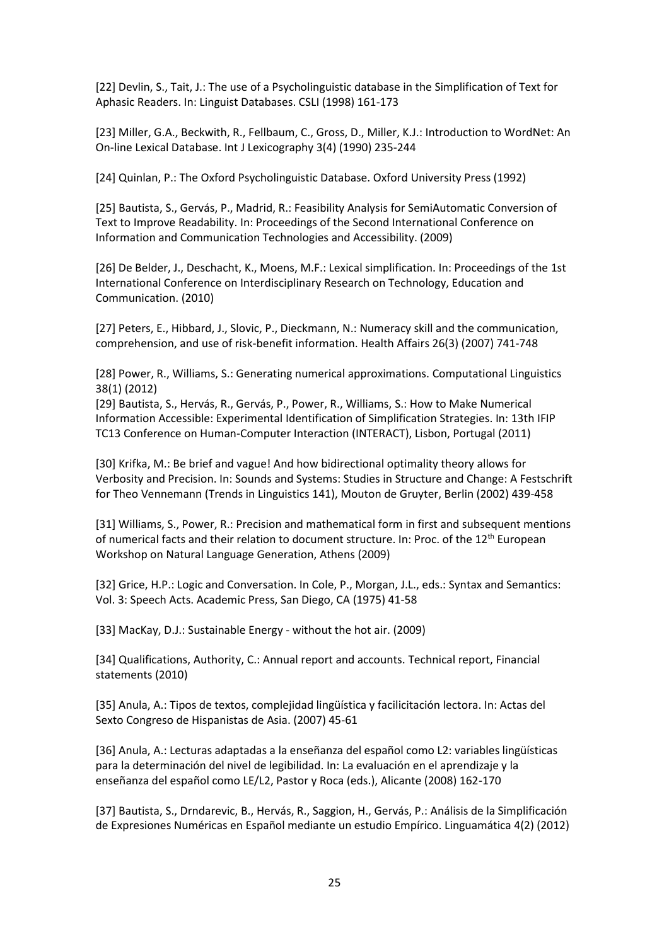[22] Devlin, S., Tait, J.: The use of a Psycholinguistic database in the Simplification of Text for Aphasic Readers. In: Linguist Databases. CSLI (1998) 161-173

[23] Miller, G.A., Beckwith, R., Fellbaum, C., Gross, D., Miller, K.J.: Introduction to WordNet: An On-line Lexical Database. Int J Lexicography 3(4) (1990) 235-244

[24] Quinlan, P.: The Oxford Psycholinguistic Database. Oxford University Press (1992)

[25] Bautista, S., Gervás, P., Madrid, R.: Feasibility Analysis for SemiAutomatic Conversion of Text to Improve Readability. In: Proceedings of the Second International Conference on Information and Communication Technologies and Accessibility. (2009)

[26] De Belder, J., Deschacht, K., Moens, M.F.: Lexical simplification. In: Proceedings of the 1st International Conference on Interdisciplinary Research on Technology, Education and Communication. (2010)

[27] Peters, E., Hibbard, J., Slovic, P., Dieckmann, N.: Numeracy skill and the communication, comprehension, and use of risk-benefit information. Health Affairs 26(3) (2007) 741-748

[28] Power, R., Williams, S.: Generating numerical approximations. Computational Linguistics 38(1) (2012)

[29] Bautista, S., Hervás, R., Gervás, P., Power, R., Williams, S.: How to Make Numerical Information Accessible: Experimental Identification of Simplification Strategies. In: 13th IFIP TC13 Conference on Human-Computer Interaction (INTERACT), Lisbon, Portugal (2011)

[30] Krifka, M.: Be brief and vague! And how bidirectional optimality theory allows for Verbosity and Precision. In: Sounds and Systems: Studies in Structure and Change: A Festschrift for Theo Vennemann (Trends in Linguistics 141), Mouton de Gruyter, Berlin (2002) 439-458

[31] Williams, S., Power, R.: Precision and mathematical form in first and subsequent mentions of numerical facts and their relation to document structure. In: Proc. of the 12<sup>th</sup> European Workshop on Natural Language Generation, Athens (2009)

[32] Grice, H.P.: Logic and Conversation. In Cole, P., Morgan, J.L., eds.: Syntax and Semantics: Vol. 3: Speech Acts. Academic Press, San Diego, CA (1975) 41-58

[33] MacKay, D.J.: Sustainable Energy - without the hot air. (2009)

[34] Qualifications, Authority, C.: Annual report and accounts. Technical report, Financial statements (2010)

[35] Anula, A.: Tipos de textos, complejidad lingüística y facilicitación lectora. In: Actas del Sexto Congreso de Hispanistas de Asia. (2007) 45-61

[36] Anula, A.: Lecturas adaptadas a la enseñanza del español como L2: variables lingüísticas para la determinación del nivel de legibilidad. In: La evaluación en el aprendizaje y la enseñanza del español como LE/L2, Pastor y Roca (eds.), Alicante (2008) 162-170

[37] Bautista, S., Drndarevic, B., Hervás, R., Saggion, H., Gervás, P.: Análisis de la Simplificación de Expresiones Numéricas en Español mediante un estudio Empírico. Linguamática 4(2) (2012)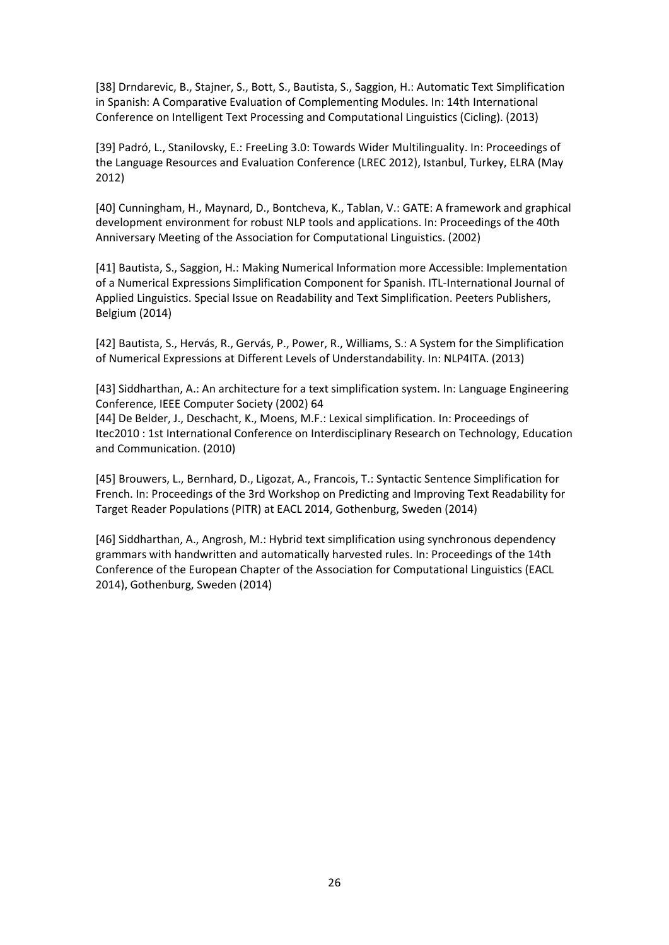[38] Drndarevic, B., Stajner, S., Bott, S., Bautista, S., Saggion, H.: Automatic Text Simplification in Spanish: A Comparative Evaluation of Complementing Modules. In: 14th International Conference on Intelligent Text Processing and Computational Linguistics (Cicling). (2013)

[39] Padró, L., Stanilovsky, E.: FreeLing 3.0: Towards Wider Multilinguality. In: Proceedings of the Language Resources and Evaluation Conference (LREC 2012), Istanbul, Turkey, ELRA (May 2012)

[40] Cunningham, H., Maynard, D., Bontcheva, K., Tablan, V.: GATE: A framework and graphical development environment for robust NLP tools and applications. In: Proceedings of the 40th Anniversary Meeting of the Association for Computational Linguistics. (2002)

[41] Bautista, S., Saggion, H.: Making Numerical Information more Accessible: Implementation of a Numerical Expressions Simplification Component for Spanish. ITL-International Journal of Applied Linguistics. Special Issue on Readability and Text Simplification. Peeters Publishers, Belgium (2014)

[42] Bautista, S., Hervás, R., Gervás, P., Power, R., Williams, S.: A System for the Simplification of Numerical Expressions at Different Levels of Understandability. In: NLP4ITA. (2013)

[43] Siddharthan, A.: An architecture for a text simplification system. In: Language Engineering Conference, IEEE Computer Society (2002) 64

[44] De Belder, J., Deschacht, K., Moens, M.F.: Lexical simplification. In: Proceedings of Itec2010 : 1st International Conference on Interdisciplinary Research on Technology, Education and Communication. (2010)

[45] Brouwers, L., Bernhard, D., Ligozat, A., Francois, T.: Syntactic Sentence Simplification for French. In: Proceedings of the 3rd Workshop on Predicting and Improving Text Readability for Target Reader Populations (PITR) at EACL 2014, Gothenburg, Sweden (2014)

[46] Siddharthan, A., Angrosh, M.: Hybrid text simplification using synchronous dependency grammars with handwritten and automatically harvested rules. In: Proceedings of the 14th Conference of the European Chapter of the Association for Computational Linguistics (EACL 2014), Gothenburg, Sweden (2014)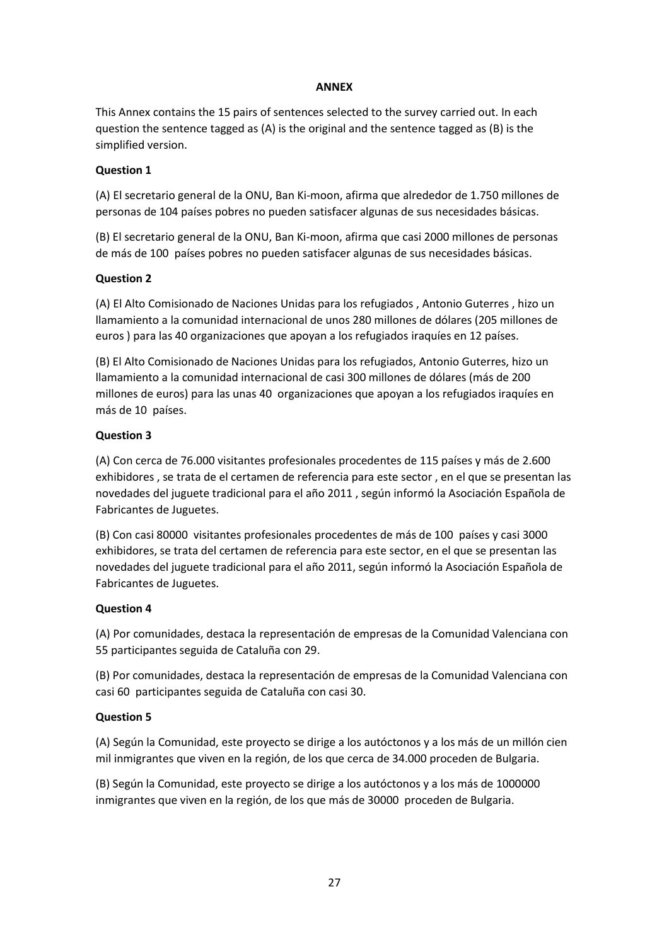# **ANNEX**

This Annex contains the 15 pairs of sentences selected to the survey carried out. In each question the sentence tagged as (A) is the original and the sentence tagged as (B) is the simplified version.

#### **Question 1**

(A) El secretario general de la ONU, Ban Ki-moon, afirma que alrededor de 1.750 millones de personas de 104 países pobres no pueden satisfacer algunas de sus necesidades básicas.

(B) El secretario general de la ONU, Ban Ki-moon, afirma que casi 2000 millones de personas de más de 100 países pobres no pueden satisfacer algunas de sus necesidades básicas.

#### **Question 2**

(A) El Alto Comisionado de Naciones Unidas para los refugiados , Antonio Guterres , hizo un llamamiento a la comunidad internacional de unos 280 millones de dólares (205 millones de euros ) para las 40 organizaciones que apoyan a los refugiados iraquíes en 12 países.

(B) El Alto Comisionado de Naciones Unidas para los refugiados, Antonio Guterres, hizo un llamamiento a la comunidad internacional de casi 300 millones de dólares (más de 200 millones de euros) para las unas 40 organizaciones que apoyan a los refugiados iraquíes en más de 10 países.

#### **Question 3**

(A) Con cerca de 76.000 visitantes profesionales procedentes de 115 países y más de 2.600 exhibidores , se trata de el certamen de referencia para este sector , en el que se presentan las novedades del juguete tradicional para el año 2011 , según informó la Asociación Española de Fabricantes de Juguetes.

(B) Con casi 80000 visitantes profesionales procedentes de más de 100 países y casi 3000 exhibidores, se trata del certamen de referencia para este sector, en el que se presentan las novedades del juguete tradicional para el año 2011, según informó la Asociación Española de Fabricantes de Juguetes.

# **Question 4**

(A) Por comunidades, destaca la representación de empresas de la Comunidad Valenciana con 55 participantes seguida de Cataluña con 29.

(B) Por comunidades, destaca la representación de empresas de la Comunidad Valenciana con casi 60 participantes seguida de Cataluña con casi 30.

# **Question 5**

(A) Según la Comunidad, este proyecto se dirige a los autóctonos y a los más de un millón cien mil inmigrantes que viven en la región, de los que cerca de 34.000 proceden de Bulgaria.

(B) Según la Comunidad, este proyecto se dirige a los autóctonos y a los más de 1000000 inmigrantes que viven en la región, de los que más de 30000 proceden de Bulgaria.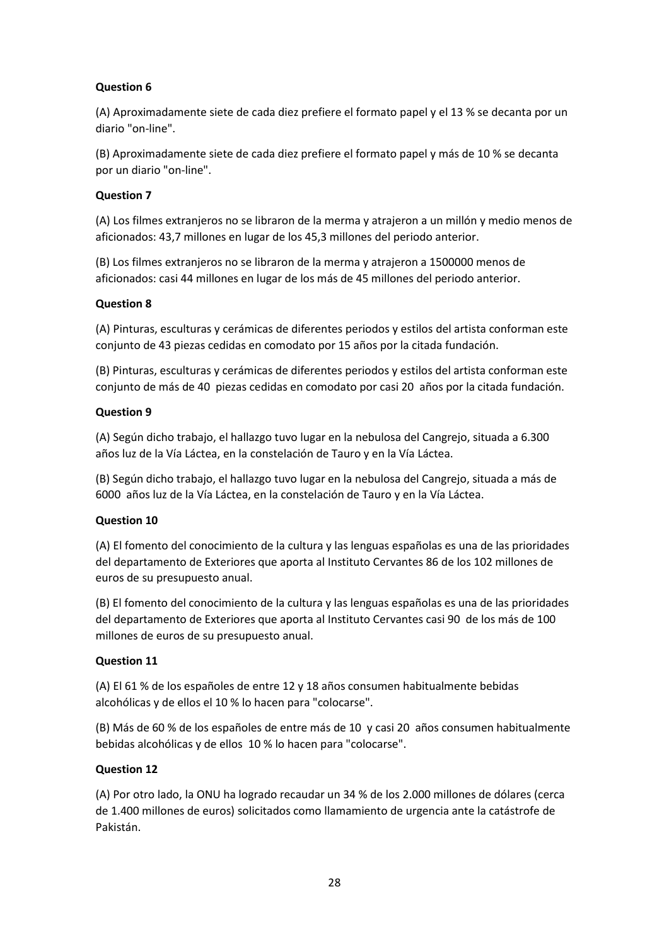# **Question 6**

(A) Aproximadamente siete de cada diez prefiere el formato papel y el 13 % se decanta por un diario "on-line".

(B) Aproximadamente siete de cada diez prefiere el formato papel y más de 10 % se decanta por un diario "on-line".

# **Question 7**

(A) Los filmes extranjeros no se libraron de la merma y atrajeron a un millón y medio menos de aficionados: 43,7 millones en lugar de los 45,3 millones del periodo anterior.

(B) Los filmes extranjeros no se libraron de la merma y atrajeron a 1500000 menos de aficionados: casi 44 millones en lugar de los más de 45 millones del periodo anterior.

# **Question 8**

(A) Pinturas, esculturas y cerámicas de diferentes periodos y estilos del artista conforman este conjunto de 43 piezas cedidas en comodato por 15 años por la citada fundación.

(B) Pinturas, esculturas y cerámicas de diferentes periodos y estilos del artista conforman este conjunto de más de 40 piezas cedidas en comodato por casi 20 años por la citada fundación.

# **Question 9**

(A) Según dicho trabajo, el hallazgo tuvo lugar en la nebulosa del Cangrejo, situada a 6.300 años luz de la Vía Láctea, en la constelación de Tauro y en la Vía Láctea.

(B) Según dicho trabajo, el hallazgo tuvo lugar en la nebulosa del Cangrejo, situada a más de 6000 años luz de la Vía Láctea, en la constelación de Tauro y en la Vía Láctea.

# **Question 10**

(A) El fomento del conocimiento de la cultura y las lenguas españolas es una de las prioridades del departamento de Exteriores que aporta al Instituto Cervantes 86 de los 102 millones de euros de su presupuesto anual.

(B) El fomento del conocimiento de la cultura y las lenguas españolas es una de las prioridades del departamento de Exteriores que aporta al Instituto Cervantes casi 90 de los más de 100 millones de euros de su presupuesto anual.

# **Question 11**

(A) El 61 % de los españoles de entre 12 y 18 años consumen habitualmente bebidas alcohólicas y de ellos el 10 % lo hacen para "colocarse".

(B) Más de 60 % de los españoles de entre más de 10 y casi 20 años consumen habitualmente bebidas alcohólicas y de ellos 10 % lo hacen para "colocarse".

# **Question 12**

(A) Por otro lado, la ONU ha logrado recaudar un 34 % de los 2.000 millones de dólares (cerca de 1.400 millones de euros) solicitados como llamamiento de urgencia ante la catástrofe de Pakistán.